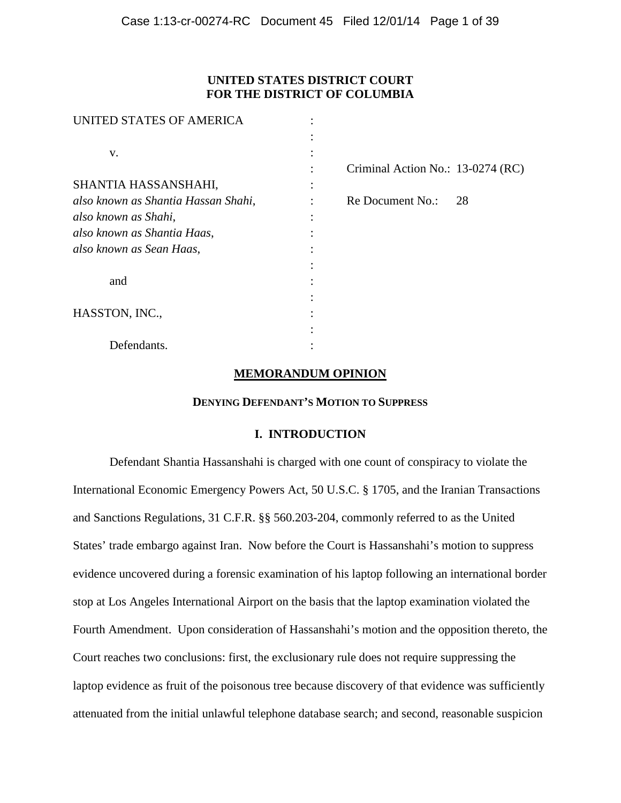# **UNITED STATES DISTRICT COURT FOR THE DISTRICT OF COLUMBIA**

| UNITED STATES OF AMERICA            |                                   |    |
|-------------------------------------|-----------------------------------|----|
|                                     |                                   |    |
| V.                                  |                                   |    |
|                                     | Criminal Action No.: 13-0274 (RC) |    |
| SHANTIA HASSANSHAHI,                |                                   |    |
| also known as Shantia Hassan Shahi, | Re Document No.:                  | 28 |
| also known as Shahi,                |                                   |    |
| also known as Shantia Haas,         |                                   |    |
| also known as Sean Haas,            |                                   |    |
|                                     |                                   |    |
| and                                 |                                   |    |
|                                     |                                   |    |
| HASSTON, INC.,                      |                                   |    |
|                                     |                                   |    |
| Defendants.                         |                                   |    |

# **MEMORANDUM OPINION**

### **DENYING DEFENDANT'S MOTION TO SUPPRESS**

# **I. INTRODUCTION**

Defendant Shantia Hassanshahi is charged with one count of conspiracy to violate the International Economic Emergency Powers Act, 50 U.S.C. § 1705, and the Iranian Transactions and Sanctions Regulations, 31 C.F.R. §§ 560.203-204, commonly referred to as the United States' trade embargo against Iran. Now before the Court is Hassanshahi's motion to suppress evidence uncovered during a forensic examination of his laptop following an international border stop at Los Angeles International Airport on the basis that the laptop examination violated the Fourth Amendment. Upon consideration of Hassanshahi's motion and the opposition thereto, the Court reaches two conclusions: first, the exclusionary rule does not require suppressing the laptop evidence as fruit of the poisonous tree because discovery of that evidence was sufficiently attenuated from the initial unlawful telephone database search; and second, reasonable suspicion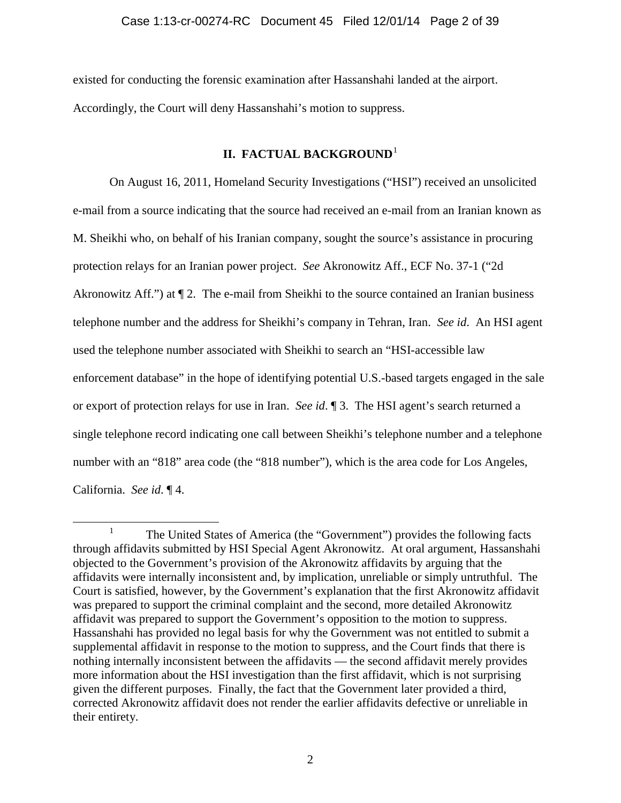existed for conducting the forensic examination after Hassanshahi landed at the airport. Accordingly, the Court will deny Hassanshahi's motion to suppress.

# **II. FACTUAL BACKGROUND**<sup>[1](#page-1-0)</sup>

On August 16, 2011, Homeland Security Investigations ("HSI") received an unsolicited e-mail from a source indicating that the source had received an e-mail from an Iranian known as M. Sheikhi who, on behalf of his Iranian company, sought the source's assistance in procuring protection relays for an Iranian power project. *See* Akronowitz Aff., ECF No. 37-1 ("2d Akronowitz Aff.") at  $\P$  2. The e-mail from Sheikhi to the source contained an Iranian business telephone number and the address for Sheikhi's company in Tehran, Iran. *See id*. An HSI agent used the telephone number associated with Sheikhi to search an "HSI-accessible law enforcement database" in the hope of identifying potential U.S.-based targets engaged in the sale or export of protection relays for use in Iran. *See id*. ¶ 3. The HSI agent's search returned a single telephone record indicating one call between Sheikhi's telephone number and a telephone number with an "818" area code (the "818 number"), which is the area code for Los Angeles, California. *See id*. ¶ 4.

<span id="page-1-0"></span><sup>&</sup>lt;sup>1</sup> The United States of America (the "Government") provides the following facts through affidavits submitted by HSI Special Agent Akronowitz. At oral argument, Hassanshahi objected to the Government's provision of the Akronowitz affidavits by arguing that the affidavits were internally inconsistent and, by implication, unreliable or simply untruthful. The Court is satisfied, however, by the Government's explanation that the first Akronowitz affidavit was prepared to support the criminal complaint and the second, more detailed Akronowitz affidavit was prepared to support the Government's opposition to the motion to suppress. Hassanshahi has provided no legal basis for why the Government was not entitled to submit a supplemental affidavit in response to the motion to suppress, and the Court finds that there is nothing internally inconsistent between the affidavits — the second affidavit merely provides more information about the HSI investigation than the first affidavit, which is not surprising given the different purposes. Finally, the fact that the Government later provided a third, corrected Akronowitz affidavit does not render the earlier affidavits defective or unreliable in their entirety.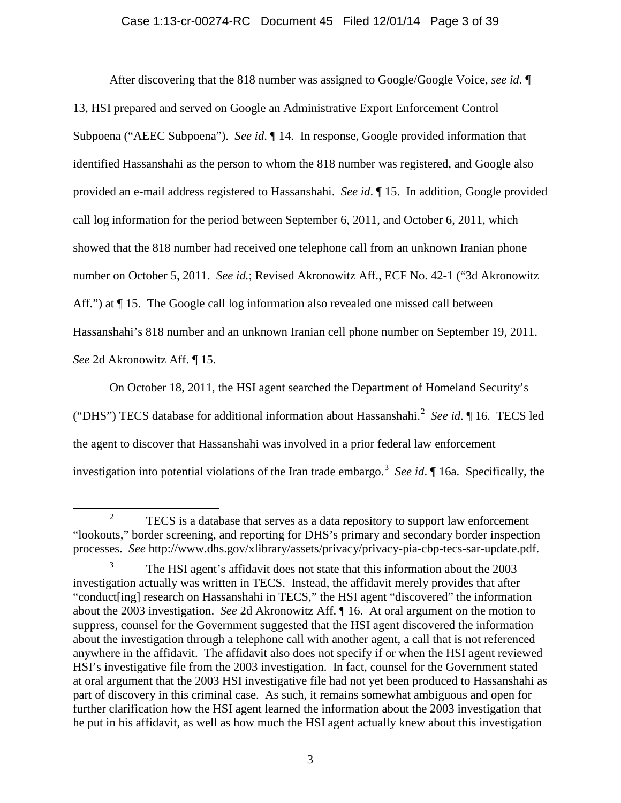# Case 1:13-cr-00274-RC Document 45 Filed 12/01/14 Page 3 of 39

After discovering that the 818 number was assigned to Google/Google Voice, *see id*. ¶ 13, HSI prepared and served on Google an Administrative Export Enforcement Control Subpoena ("AEEC Subpoena"). *See id*. ¶ 14. In response, Google provided information that identified Hassanshahi as the person to whom the 818 number was registered, and Google also provided an e-mail address registered to Hassanshahi. *See id*. ¶ 15. In addition, Google provided call log information for the period between September 6, 2011, and October 6, 2011, which showed that the 818 number had received one telephone call from an unknown Iranian phone number on October 5, 2011. *See id.*; Revised Akronowitz Aff., ECF No. 42-1 ("3d Akronowitz Aff.") at  $\P$  15. The Google call log information also revealed one missed call between Hassanshahi's 818 number and an unknown Iranian cell phone number on September 19, 2011. *See* 2d Akronowitz Aff. ¶ 15.

On October 18, 2011, the HSI agent searched the Department of Homeland Security's ("DHS") TECS database for additional information about Hassanshahi.<sup>[2](#page-2-0)</sup> See id. 116. TECS led the agent to discover that Hassanshahi was involved in a prior federal law enforcement investigation into potential violations of the Iran trade embargo. [3](#page-2-1) *See id*. ¶ 16a. Specifically, the

<span id="page-2-0"></span><sup>&</sup>lt;sup>2</sup> TECS is a database that serves as a data repository to support law enforcement "lookouts," border screening, and reporting for DHS's primary and secondary border inspection processes. *See* http://www.dhs.gov/xlibrary/assets/privacy/privacy-pia-cbp-tecs-sar-update.pdf.

<span id="page-2-1"></span><sup>&</sup>lt;sup>3</sup> The HSI agent's affidavit does not state that this information about the 2003 investigation actually was written in TECS. Instead, the affidavit merely provides that after "conduct[ing] research on Hassanshahi in TECS," the HSI agent "discovered" the information about the 2003 investigation. *See* 2d Akronowitz Aff. ¶ 16. At oral argument on the motion to suppress, counsel for the Government suggested that the HSI agent discovered the information about the investigation through a telephone call with another agent, a call that is not referenced anywhere in the affidavit. The affidavit also does not specify if or when the HSI agent reviewed HSI's investigative file from the 2003 investigation. In fact, counsel for the Government stated at oral argument that the 2003 HSI investigative file had not yet been produced to Hassanshahi as part of discovery in this criminal case. As such, it remains somewhat ambiguous and open for further clarification how the HSI agent learned the information about the 2003 investigation that he put in his affidavit, as well as how much the HSI agent actually knew about this investigation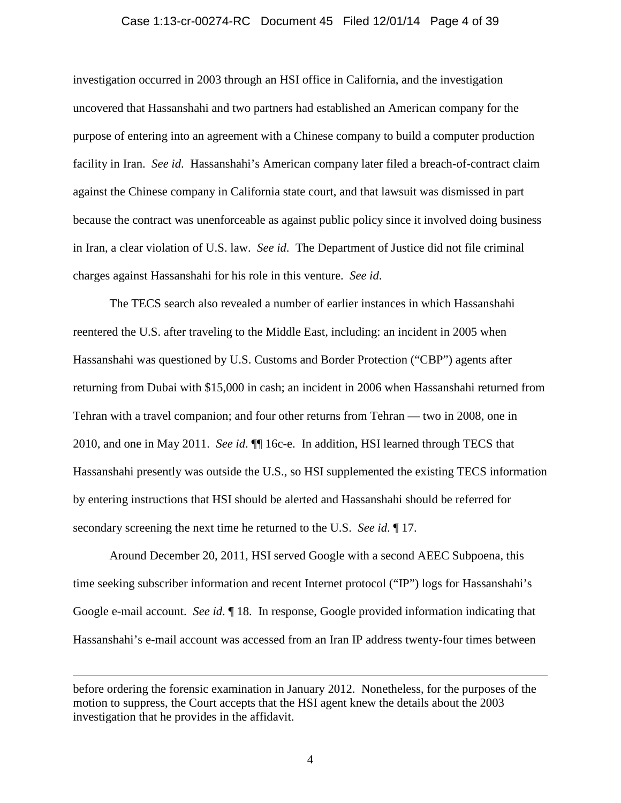### Case 1:13-cr-00274-RC Document 45 Filed 12/01/14 Page 4 of 39

investigation occurred in 2003 through an HSI office in California, and the investigation uncovered that Hassanshahi and two partners had established an American company for the purpose of entering into an agreement with a Chinese company to build a computer production facility in Iran. *See id*. Hassanshahi's American company later filed a breach-of-contract claim against the Chinese company in California state court, and that lawsuit was dismissed in part because the contract was unenforceable as against public policy since it involved doing business in Iran, a clear violation of U.S. law. *See id*. The Department of Justice did not file criminal charges against Hassanshahi for his role in this venture. *See id*.

The TECS search also revealed a number of earlier instances in which Hassanshahi reentered the U.S. after traveling to the Middle East, including: an incident in 2005 when Hassanshahi was questioned by U.S. Customs and Border Protection ("CBP") agents after returning from Dubai with \$15,000 in cash; an incident in 2006 when Hassanshahi returned from Tehran with a travel companion; and four other returns from Tehran — two in 2008, one in 2010, and one in May 2011. *See id*. ¶¶ 16c-e. In addition, HSI learned through TECS that Hassanshahi presently was outside the U.S., so HSI supplemented the existing TECS information by entering instructions that HSI should be alerted and Hassanshahi should be referred for secondary screening the next time he returned to the U.S. *See id*. ¶ 17.

Around December 20, 2011, HSI served Google with a second AEEC Subpoena, this time seeking subscriber information and recent Internet protocol ("IP") logs for Hassanshahi's Google e-mail account. *See id*. ¶ 18. In response, Google provided information indicating that Hassanshahi's e-mail account was accessed from an Iran IP address twenty-four times between

 $\overline{a}$ 

before ordering the forensic examination in January 2012. Nonetheless, for the purposes of the motion to suppress, the Court accepts that the HSI agent knew the details about the 2003 investigation that he provides in the affidavit.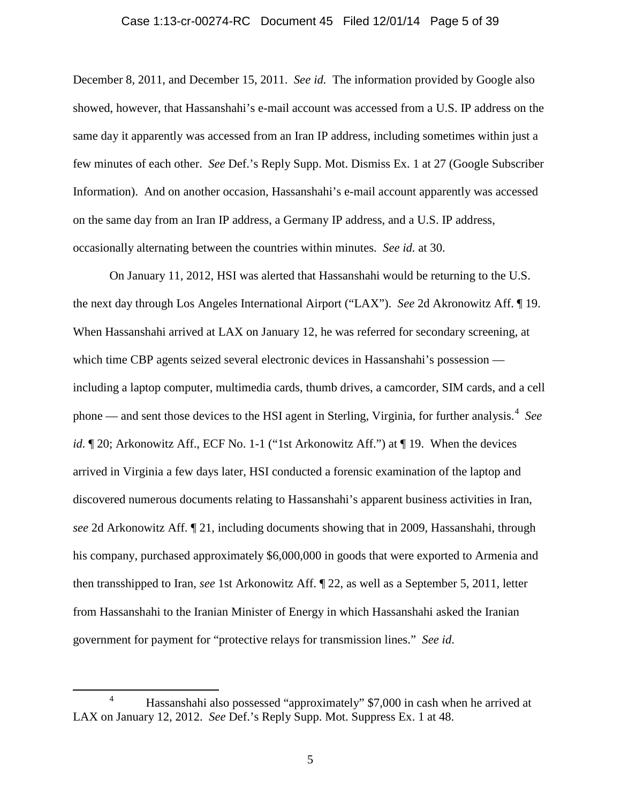### Case 1:13-cr-00274-RC Document 45 Filed 12/01/14 Page 5 of 39

December 8, 2011, and December 15, 2011. *See id.* The information provided by Google also showed, however, that Hassanshahi's e-mail account was accessed from a U.S. IP address on the same day it apparently was accessed from an Iran IP address, including sometimes within just a few minutes of each other. *See* Def.'s Reply Supp. Mot. Dismiss Ex. 1 at 27 (Google Subscriber Information). And on another occasion, Hassanshahi's e-mail account apparently was accessed on the same day from an Iran IP address, a Germany IP address, and a U.S. IP address, occasionally alternating between the countries within minutes. *See id.* at 30.

On January 11, 2012, HSI was alerted that Hassanshahi would be returning to the U.S. the next day through Los Angeles International Airport ("LAX"). *See* 2d Akronowitz Aff. ¶ 19. When Hassanshahi arrived at LAX on January 12, he was referred for secondary screening, at which time CBP agents seized several electronic devices in Hassanshahi's possession including a laptop computer, multimedia cards, thumb drives, a camcorder, SIM cards, and a cell phone — and sent those devices to the HSI agent in Sterling, Virginia, for further analysis.<sup>[4](#page-4-0)</sup> See *id.*  $\mathbb{I}$  20; Arkonowitz Aff., ECF No. 1-1 ("1st Arkonowitz Aff.") at  $\mathbb{I}$  19. When the devices arrived in Virginia a few days later, HSI conducted a forensic examination of the laptop and discovered numerous documents relating to Hassanshahi's apparent business activities in Iran, *see* 2d Arkonowitz Aff. ¶ 21, including documents showing that in 2009, Hassanshahi, through his company, purchased approximately \$6,000,000 in goods that were exported to Armenia and then transshipped to Iran, *see* 1st Arkonowitz Aff. ¶ 22, as well as a September 5, 2011, letter from Hassanshahi to the Iranian Minister of Energy in which Hassanshahi asked the Iranian government for payment for "protective relays for transmission lines." *See id*.

<span id="page-4-0"></span> <sup>4</sup> Hassanshahi also possessed "approximately" \$7,000 in cash when he arrived at LAX on January 12, 2012. *See* Def.'s Reply Supp. Mot. Suppress Ex. 1 at 48.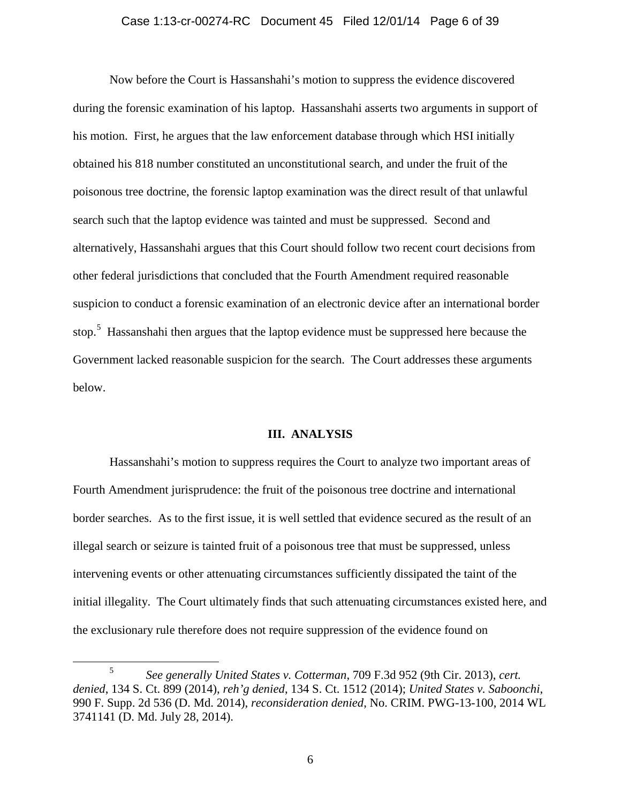### Case 1:13-cr-00274-RC Document 45 Filed 12/01/14 Page 6 of 39

Now before the Court is Hassanshahi's motion to suppress the evidence discovered during the forensic examination of his laptop. Hassanshahi asserts two arguments in support of his motion. First, he argues that the law enforcement database through which HSI initially obtained his 818 number constituted an unconstitutional search, and under the fruit of the poisonous tree doctrine, the forensic laptop examination was the direct result of that unlawful search such that the laptop evidence was tainted and must be suppressed. Second and alternatively, Hassanshahi argues that this Court should follow two recent court decisions from other federal jurisdictions that concluded that the Fourth Amendment required reasonable suspicion to conduct a forensic examination of an electronic device after an international border stop.<sup>[5](#page-5-0)</sup> Hassanshahi then argues that the laptop evidence must be suppressed here because the Government lacked reasonable suspicion for the search. The Court addresses these arguments below.

#### **III. ANALYSIS**

Hassanshahi's motion to suppress requires the Court to analyze two important areas of Fourth Amendment jurisprudence: the fruit of the poisonous tree doctrine and international border searches. As to the first issue, it is well settled that evidence secured as the result of an illegal search or seizure is tainted fruit of a poisonous tree that must be suppressed, unless intervening events or other attenuating circumstances sufficiently dissipated the taint of the initial illegality. The Court ultimately finds that such attenuating circumstances existed here, and the exclusionary rule therefore does not require suppression of the evidence found on

<span id="page-5-0"></span> <sup>5</sup> *See generally United States v. Cotterman*, 709 F.3d 952 (9th Cir. 2013), *cert. denied*, 134 S. Ct. 899 (2014), *reh'g denied*, 134 S. Ct. 1512 (2014); *United States v. Saboonchi*, 990 F. Supp. 2d 536 (D. Md. 2014), *reconsideration denied*, No. CRIM. PWG-13-100, 2014 WL 3741141 (D. Md. July 28, 2014).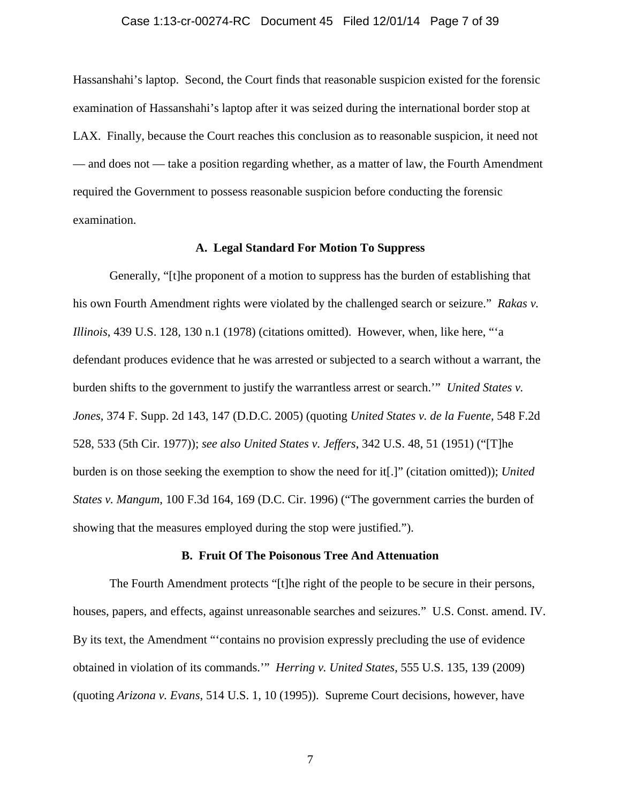### Case 1:13-cr-00274-RC Document 45 Filed 12/01/14 Page 7 of 39

Hassanshahi's laptop. Second, the Court finds that reasonable suspicion existed for the forensic examination of Hassanshahi's laptop after it was seized during the international border stop at LAX. Finally, because the Court reaches this conclusion as to reasonable suspicion, it need not — and does not — take a position regarding whether, as a matter of law, the Fourth Amendment required the Government to possess reasonable suspicion before conducting the forensic examination.

### **A. Legal Standard For Motion To Suppress**

Generally, "[t]he proponent of a motion to suppress has the burden of establishing that his own Fourth Amendment rights were violated by the challenged search or seizure." *Rakas v. Illinois*, 439 U.S. 128, 130 n.1 (1978) (citations omitted). However, when, like here, "'a defendant produces evidence that he was arrested or subjected to a search without a warrant, the burden shifts to the government to justify the warrantless arrest or search.'" *United States v. Jones*, 374 F. Supp. 2d 143, 147 (D.D.C. 2005) (quoting *United States v. de la Fuente*, 548 F.2d 528, 533 (5th Cir. 1977)); *see also United States v. Jeffers*, 342 U.S. 48, 51 (1951) ("[T]he burden is on those seeking the exemption to show the need for it[.]" (citation omitted)); *United States v. Mangum*, 100 F.3d 164, 169 (D.C. Cir. 1996) ("The government carries the burden of showing that the measures employed during the stop were justified.").

### **B. Fruit Of The Poisonous Tree And Attenuation**

The Fourth Amendment protects "[t]he right of the people to be secure in their persons, houses, papers, and effects, against unreasonable searches and seizures." U.S. Const. amend. IV. By its text, the Amendment "'contains no provision expressly precluding the use of evidence obtained in violation of its commands.'" *Herring v. United States*, 555 U.S. 135, 139 (2009) (quoting *Arizona v. Evans*, 514 U.S. 1, 10 (1995)). Supreme Court decisions, however, have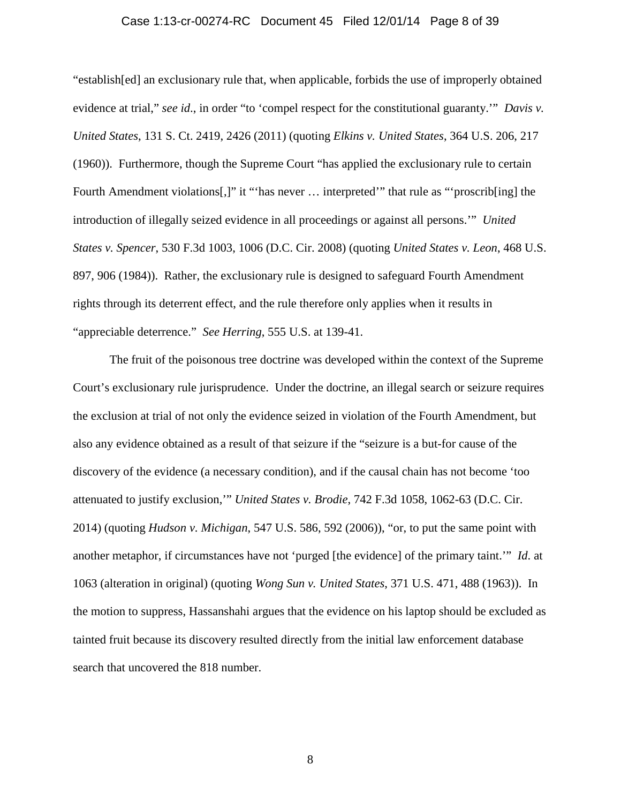### Case 1:13-cr-00274-RC Document 45 Filed 12/01/14 Page 8 of 39

"establish[ed] an exclusionary rule that, when applicable, forbids the use of improperly obtained evidence at trial," *see id*., in order "to 'compel respect for the constitutional guaranty.'" *Davis v. United States*, 131 S. Ct. 2419, 2426 (2011) (quoting *Elkins v. United States*, 364 U.S. 206, 217 (1960)). Furthermore, though the Supreme Court "has applied the exclusionary rule to certain Fourth Amendment violations[,]" it "'has never ... interpreted'" that rule as "'proscrib[ing] the introduction of illegally seized evidence in all proceedings or against all persons.'" *United States v. Spencer*, 530 F.3d 1003, 1006 (D.C. Cir. 2008) (quoting *United States v. Leon*, 468 U.S. 897, 906 (1984)). Rather, the exclusionary rule is designed to safeguard Fourth Amendment rights through its deterrent effect, and the rule therefore only applies when it results in "appreciable deterrence." *See Herring*, 555 U.S. at 139-41.

The fruit of the poisonous tree doctrine was developed within the context of the Supreme Court's exclusionary rule jurisprudence. Under the doctrine, an illegal search or seizure requires the exclusion at trial of not only the evidence seized in violation of the Fourth Amendment, but also any evidence obtained as a result of that seizure if the "seizure is a but-for cause of the discovery of the evidence (a necessary condition), and if the causal chain has not become 'too attenuated to justify exclusion,'" *United States v. Brodie*, 742 F.3d 1058, 1062-63 (D.C. Cir. 2014) (quoting *Hudson v. Michigan*, 547 U.S. 586, 592 (2006)), "or, to put the same point with another metaphor, if circumstances have not 'purged [the evidence] of the primary taint.'" *Id*. at 1063 (alteration in original) (quoting *Wong Sun v. United States*, 371 U.S. 471, 488 (1963)). In the motion to suppress, Hassanshahi argues that the evidence on his laptop should be excluded as tainted fruit because its discovery resulted directly from the initial law enforcement database search that uncovered the 818 number.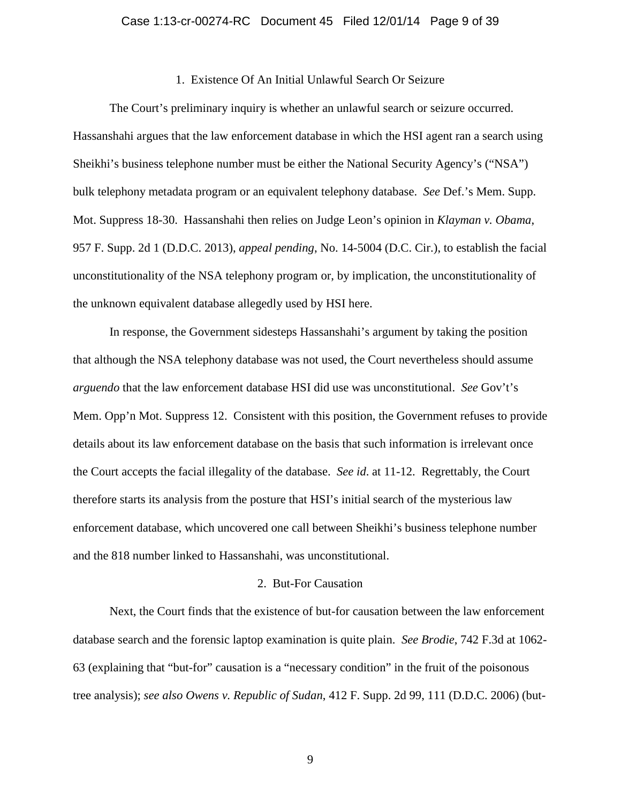### 1. Existence Of An Initial Unlawful Search Or Seizure

The Court's preliminary inquiry is whether an unlawful search or seizure occurred. Hassanshahi argues that the law enforcement database in which the HSI agent ran a search using Sheikhi's business telephone number must be either the National Security Agency's ("NSA") bulk telephony metadata program or an equivalent telephony database. *See* Def.'s Mem. Supp. Mot. Suppress 18-30. Hassanshahi then relies on Judge Leon's opinion in *Klayman v. Obama*, 957 F. Supp. 2d 1 (D.D.C. 2013), *appeal pending*, No. 14-5004 (D.C. Cir.), to establish the facial unconstitutionality of the NSA telephony program or, by implication, the unconstitutionality of the unknown equivalent database allegedly used by HSI here.

In response, the Government sidesteps Hassanshahi's argument by taking the position that although the NSA telephony database was not used, the Court nevertheless should assume *arguendo* that the law enforcement database HSI did use was unconstitutional. *See* Gov't's Mem. Opp'n Mot. Suppress 12. Consistent with this position, the Government refuses to provide details about its law enforcement database on the basis that such information is irrelevant once the Court accepts the facial illegality of the database. *See id*. at 11-12. Regrettably, the Court therefore starts its analysis from the posture that HSI's initial search of the mysterious law enforcement database, which uncovered one call between Sheikhi's business telephone number and the 818 number linked to Hassanshahi, was unconstitutional.

### 2. But-For Causation

Next, the Court finds that the existence of but-for causation between the law enforcement database search and the forensic laptop examination is quite plain. *See Brodie*, 742 F.3d at 1062- 63 (explaining that "but-for" causation is a "necessary condition" in the fruit of the poisonous tree analysis); *see also Owens v. Republic of Sudan*, 412 F. Supp. 2d 99, 111 (D.D.C. 2006) (but-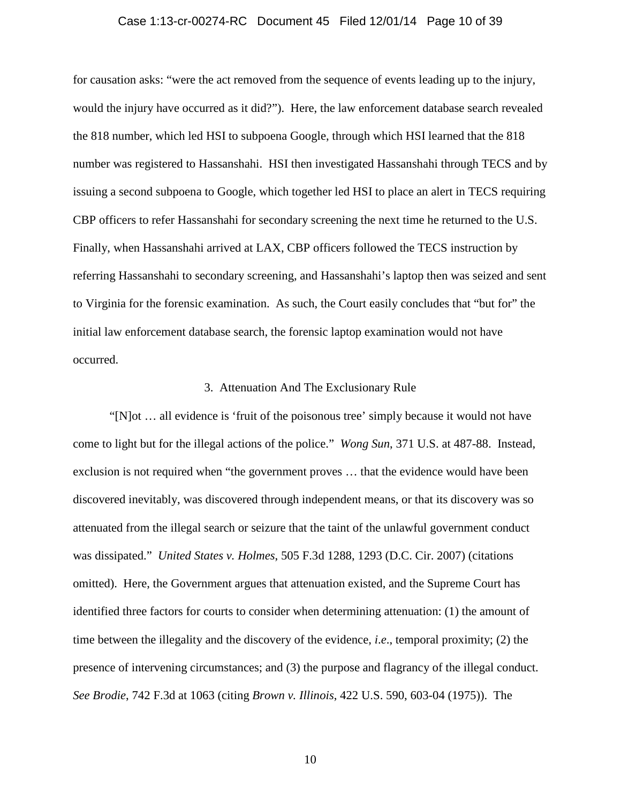### Case 1:13-cr-00274-RC Document 45 Filed 12/01/14 Page 10 of 39

for causation asks: "were the act removed from the sequence of events leading up to the injury, would the injury have occurred as it did?"). Here, the law enforcement database search revealed the 818 number, which led HSI to subpoena Google, through which HSI learned that the 818 number was registered to Hassanshahi. HSI then investigated Hassanshahi through TECS and by issuing a second subpoena to Google, which together led HSI to place an alert in TECS requiring CBP officers to refer Hassanshahi for secondary screening the next time he returned to the U.S. Finally, when Hassanshahi arrived at LAX, CBP officers followed the TECS instruction by referring Hassanshahi to secondary screening, and Hassanshahi's laptop then was seized and sent to Virginia for the forensic examination. As such, the Court easily concludes that "but for" the initial law enforcement database search, the forensic laptop examination would not have occurred.

#### 3. Attenuation And The Exclusionary Rule

"[N]ot … all evidence is 'fruit of the poisonous tree' simply because it would not have come to light but for the illegal actions of the police." *Wong Sun*, 371 U.S. at 487-88. Instead, exclusion is not required when "the government proves … that the evidence would have been discovered inevitably, was discovered through independent means, or that its discovery was so attenuated from the illegal search or seizure that the taint of the unlawful government conduct was dissipated." *United States v. Holmes*, 505 F.3d 1288, 1293 (D.C. Cir. 2007) (citations omitted). Here, the Government argues that attenuation existed, and the Supreme Court has identified three factors for courts to consider when determining attenuation: (1) the amount of time between the illegality and the discovery of the evidence, *i*.*e*., temporal proximity; (2) the presence of intervening circumstances; and (3) the purpose and flagrancy of the illegal conduct. *See Brodie*, 742 F.3d at 1063 (citing *Brown v. Illinois*, 422 U.S. 590, 603-04 (1975)). The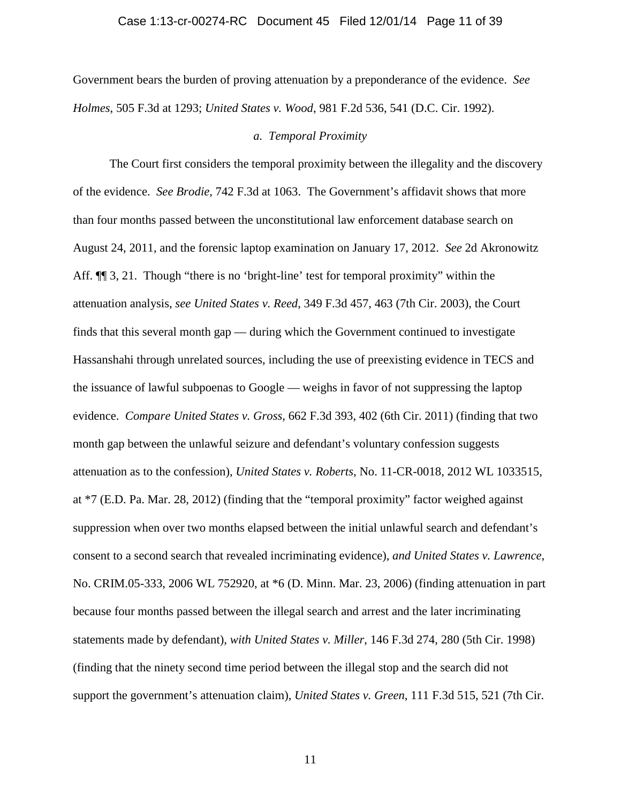### Case 1:13-cr-00274-RC Document 45 Filed 12/01/14 Page 11 of 39

Government bears the burden of proving attenuation by a preponderance of the evidence. *See Holmes*, 505 F.3d at 1293; *United States v. Wood*, 981 F.2d 536, 541 (D.C. Cir. 1992).

### *a. Temporal Proximity*

The Court first considers the temporal proximity between the illegality and the discovery of the evidence. *See Brodie*, 742 F.3d at 1063. The Government's affidavit shows that more than four months passed between the unconstitutional law enforcement database search on August 24, 2011, and the forensic laptop examination on January 17, 2012. *See* 2d Akronowitz Aff.  $\P$  3, 21. Though "there is no 'bright-line' test for temporal proximity" within the attenuation analysis, *see United States v. Reed*, 349 F.3d 457, 463 (7th Cir. 2003), the Court finds that this several month gap — during which the Government continued to investigate Hassanshahi through unrelated sources, including the use of preexisting evidence in TECS and the issuance of lawful subpoenas to Google — weighs in favor of not suppressing the laptop evidence. *Compare United States v. Gross*, 662 F.3d 393, 402 (6th Cir. 2011) (finding that two month gap between the unlawful seizure and defendant's voluntary confession suggests attenuation as to the confession), *United States v. Roberts*, No. 11-CR-0018, 2012 WL 1033515, at \*7 (E.D. Pa. Mar. 28, 2012) (finding that the "temporal proximity" factor weighed against suppression when over two months elapsed between the initial unlawful search and defendant's consent to a second search that revealed incriminating evidence), *and United States v. Lawrence*, No. CRIM.05-333, 2006 WL 752920, at \*6 (D. Minn. Mar. 23, 2006) (finding attenuation in part because four months passed between the illegal search and arrest and the later incriminating statements made by defendant), *with United States v. Miller*, 146 F.3d 274, 280 (5th Cir. 1998) (finding that the ninety second time period between the illegal stop and the search did not support the government's attenuation claim), *United States v. Green*, 111 F.3d 515, 521 (7th Cir.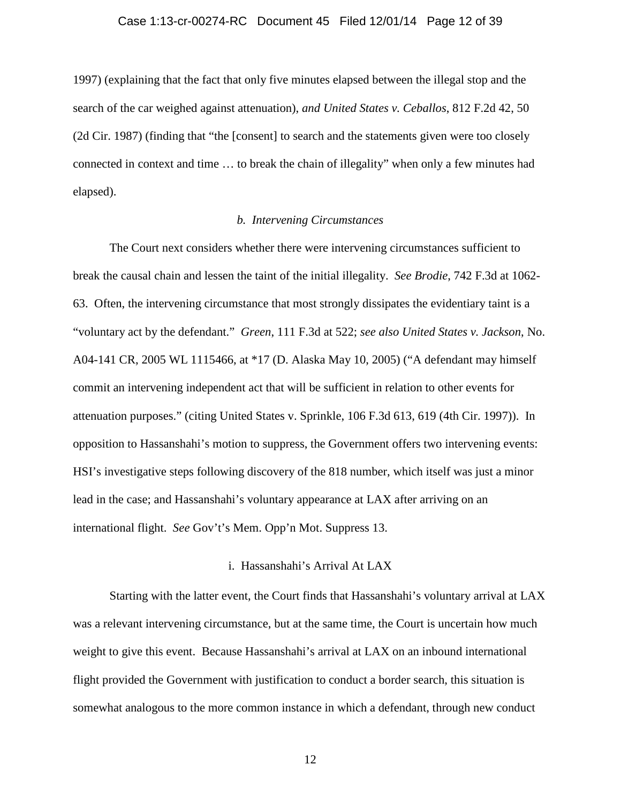### Case 1:13-cr-00274-RC Document 45 Filed 12/01/14 Page 12 of 39

1997) (explaining that the fact that only five minutes elapsed between the illegal stop and the search of the car weighed against attenuation), *and United States v. Ceballos*, 812 F.2d 42, 50 (2d Cir. 1987) (finding that "the [consent] to search and the statements given were too closely connected in context and time … to break the chain of illegality" when only a few minutes had elapsed).

# *b. Intervening Circumstances*

The Court next considers whether there were intervening circumstances sufficient to break the causal chain and lessen the taint of the initial illegality. *See Brodie*, 742 F.3d at 1062- 63. Often, the intervening circumstance that most strongly dissipates the evidentiary taint is a "voluntary act by the defendant." *Green*, 111 F.3d at 522; *see also United States v. Jackson*, No. A04-141 CR, 2005 WL 1115466, at \*17 (D. Alaska May 10, 2005) ("A defendant may himself commit an intervening independent act that will be sufficient in relation to other events for attenuation purposes." (citing United States v. Sprinkle, 106 F.3d 613, 619 (4th Cir. 1997)). In opposition to Hassanshahi's motion to suppress, the Government offers two intervening events: HSI's investigative steps following discovery of the 818 number, which itself was just a minor lead in the case; and Hassanshahi's voluntary appearance at LAX after arriving on an international flight. *See* Gov't's Mem. Opp'n Mot. Suppress 13.

### i. Hassanshahi's Arrival At LAX

Starting with the latter event, the Court finds that Hassanshahi's voluntary arrival at LAX was a relevant intervening circumstance, but at the same time, the Court is uncertain how much weight to give this event. Because Hassanshahi's arrival at LAX on an inbound international flight provided the Government with justification to conduct a border search, this situation is somewhat analogous to the more common instance in which a defendant, through new conduct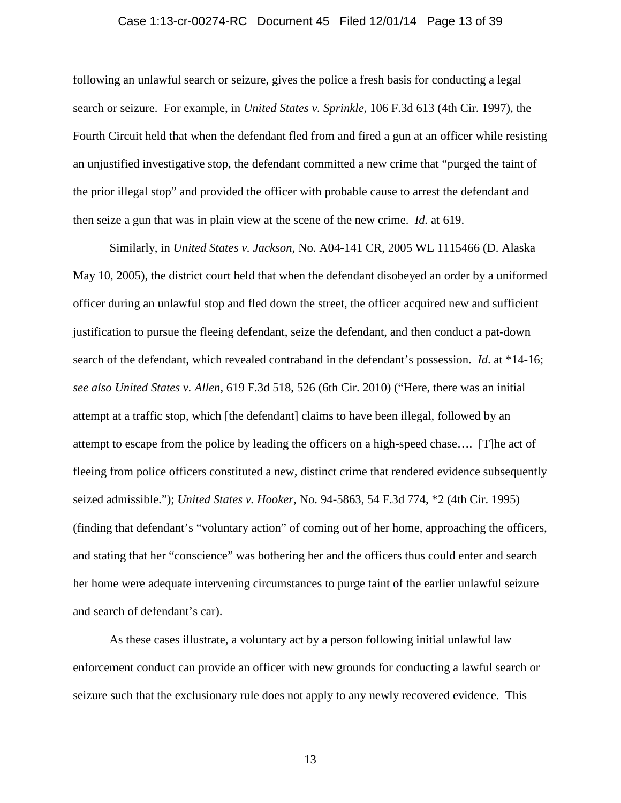### Case 1:13-cr-00274-RC Document 45 Filed 12/01/14 Page 13 of 39

following an unlawful search or seizure, gives the police a fresh basis for conducting a legal search or seizure. For example, in *United States v. Sprinkle*, 106 F.3d 613 (4th Cir. 1997), the Fourth Circuit held that when the defendant fled from and fired a gun at an officer while resisting an unjustified investigative stop, the defendant committed a new crime that "purged the taint of the prior illegal stop" and provided the officer with probable cause to arrest the defendant and then seize a gun that was in plain view at the scene of the new crime. *Id.* at 619.

Similarly, in *United States v. Jackson*, No. A04-141 CR, 2005 WL 1115466 (D. Alaska May 10, 2005), the district court held that when the defendant disobeyed an order by a uniformed officer during an unlawful stop and fled down the street, the officer acquired new and sufficient justification to pursue the fleeing defendant, seize the defendant, and then conduct a pat-down search of the defendant, which revealed contraband in the defendant's possession. *Id*. at \*14-16; *see also United States v. Allen*, 619 F.3d 518, 526 (6th Cir. 2010) ("Here, there was an initial attempt at a traffic stop, which [the defendant] claims to have been illegal, followed by an attempt to escape from the police by leading the officers on a high-speed chase…. [T]he act of fleeing from police officers constituted a new, distinct crime that rendered evidence subsequently seized admissible."); *United States v. Hooker*, No. 94-5863, 54 F.3d 774, \*2 (4th Cir. 1995) (finding that defendant's "voluntary action" of coming out of her home, approaching the officers, and stating that her "conscience" was bothering her and the officers thus could enter and search her home were adequate intervening circumstances to purge taint of the earlier unlawful seizure and search of defendant's car).

As these cases illustrate, a voluntary act by a person following initial unlawful law enforcement conduct can provide an officer with new grounds for conducting a lawful search or seizure such that the exclusionary rule does not apply to any newly recovered evidence. This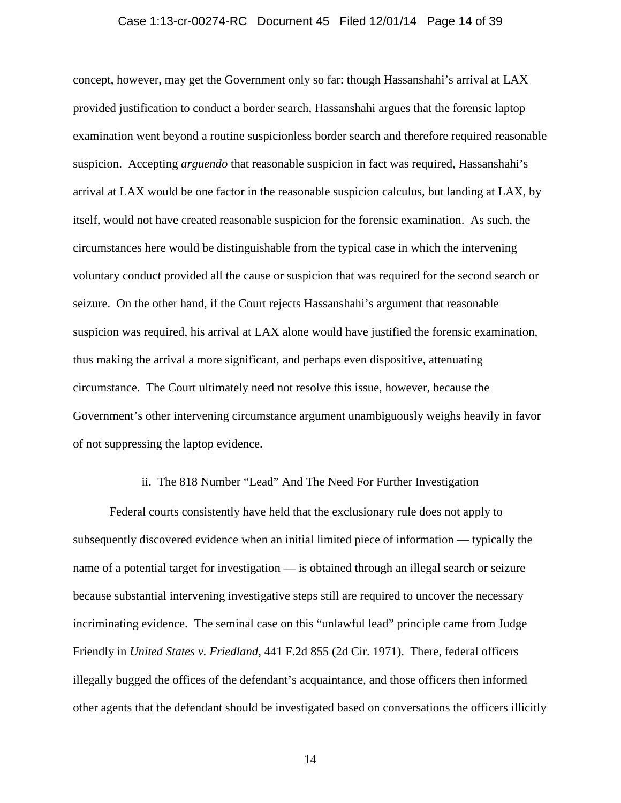### Case 1:13-cr-00274-RC Document 45 Filed 12/01/14 Page 14 of 39

concept, however, may get the Government only so far: though Hassanshahi's arrival at LAX provided justification to conduct a border search, Hassanshahi argues that the forensic laptop examination went beyond a routine suspicionless border search and therefore required reasonable suspicion. Accepting *arguendo* that reasonable suspicion in fact was required, Hassanshahi's arrival at LAX would be one factor in the reasonable suspicion calculus, but landing at LAX, by itself, would not have created reasonable suspicion for the forensic examination. As such, the circumstances here would be distinguishable from the typical case in which the intervening voluntary conduct provided all the cause or suspicion that was required for the second search or seizure. On the other hand, if the Court rejects Hassanshahi's argument that reasonable suspicion was required, his arrival at LAX alone would have justified the forensic examination, thus making the arrival a more significant, and perhaps even dispositive, attenuating circumstance. The Court ultimately need not resolve this issue, however, because the Government's other intervening circumstance argument unambiguously weighs heavily in favor of not suppressing the laptop evidence.

## ii. The 818 Number "Lead" And The Need For Further Investigation

Federal courts consistently have held that the exclusionary rule does not apply to subsequently discovered evidence when an initial limited piece of information — typically the name of a potential target for investigation — is obtained through an illegal search or seizure because substantial intervening investigative steps still are required to uncover the necessary incriminating evidence. The seminal case on this "unlawful lead" principle came from Judge Friendly in *United States v. Friedland*, 441 F.2d 855 (2d Cir. 1971). There, federal officers illegally bugged the offices of the defendant's acquaintance, and those officers then informed other agents that the defendant should be investigated based on conversations the officers illicitly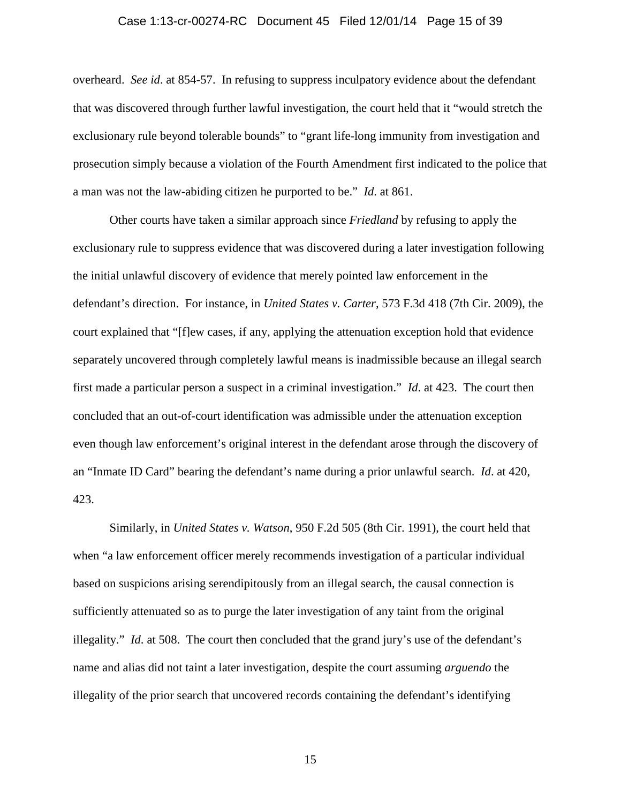### Case 1:13-cr-00274-RC Document 45 Filed 12/01/14 Page 15 of 39

overheard. *See id*. at 854-57. In refusing to suppress inculpatory evidence about the defendant that was discovered through further lawful investigation, the court held that it "would stretch the exclusionary rule beyond tolerable bounds" to "grant life-long immunity from investigation and prosecution simply because a violation of the Fourth Amendment first indicated to the police that a man was not the law-abiding citizen he purported to be." *Id*. at 861.

Other courts have taken a similar approach since *Friedland* by refusing to apply the exclusionary rule to suppress evidence that was discovered during a later investigation following the initial unlawful discovery of evidence that merely pointed law enforcement in the defendant's direction. For instance, in *United States v. Carter*, 573 F.3d 418 (7th Cir. 2009), the court explained that "[f]ew cases, if any, applying the attenuation exception hold that evidence separately uncovered through completely lawful means is inadmissible because an illegal search first made a particular person a suspect in a criminal investigation." *Id*. at 423. The court then concluded that an out-of-court identification was admissible under the attenuation exception even though law enforcement's original interest in the defendant arose through the discovery of an "Inmate ID Card" bearing the defendant's name during a prior unlawful search. *Id*. at 420, 423.

Similarly, in *United States v. Watson*, 950 F.2d 505 (8th Cir. 1991), the court held that when "a law enforcement officer merely recommends investigation of a particular individual based on suspicions arising serendipitously from an illegal search, the causal connection is sufficiently attenuated so as to purge the later investigation of any taint from the original illegality." *Id*. at 508. The court then concluded that the grand jury's use of the defendant's name and alias did not taint a later investigation, despite the court assuming *arguendo* the illegality of the prior search that uncovered records containing the defendant's identifying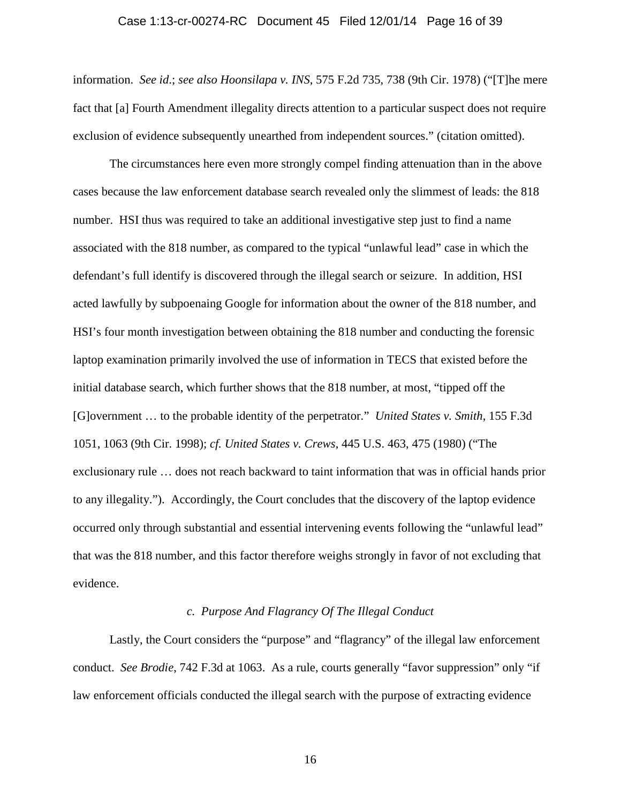### Case 1:13-cr-00274-RC Document 45 Filed 12/01/14 Page 16 of 39

information. *See id*.; *see also Hoonsilapa v. INS*, 575 F.2d 735, 738 (9th Cir. 1978) ("[T]he mere fact that [a] Fourth Amendment illegality directs attention to a particular suspect does not require exclusion of evidence subsequently unearthed from independent sources." (citation omitted).

The circumstances here even more strongly compel finding attenuation than in the above cases because the law enforcement database search revealed only the slimmest of leads: the 818 number. HSI thus was required to take an additional investigative step just to find a name associated with the 818 number, as compared to the typical "unlawful lead" case in which the defendant's full identify is discovered through the illegal search or seizure. In addition, HSI acted lawfully by subpoenaing Google for information about the owner of the 818 number, and HSI's four month investigation between obtaining the 818 number and conducting the forensic laptop examination primarily involved the use of information in TECS that existed before the initial database search, which further shows that the 818 number, at most, "tipped off the [G]overnment … to the probable identity of the perpetrator." *United States v. Smith*, 155 F.3d 1051, 1063 (9th Cir. 1998); *cf. United States v. Crews*, 445 U.S. 463, 475 (1980) ("The exclusionary rule … does not reach backward to taint information that was in official hands prior to any illegality."). Accordingly, the Court concludes that the discovery of the laptop evidence occurred only through substantial and essential intervening events following the "unlawful lead" that was the 818 number, and this factor therefore weighs strongly in favor of not excluding that evidence.

# *c. Purpose And Flagrancy Of The Illegal Conduct*

Lastly, the Court considers the "purpose" and "flagrancy" of the illegal law enforcement conduct. *See Brodie*, 742 F.3d at 1063. As a rule, courts generally "favor suppression" only "if law enforcement officials conducted the illegal search with the purpose of extracting evidence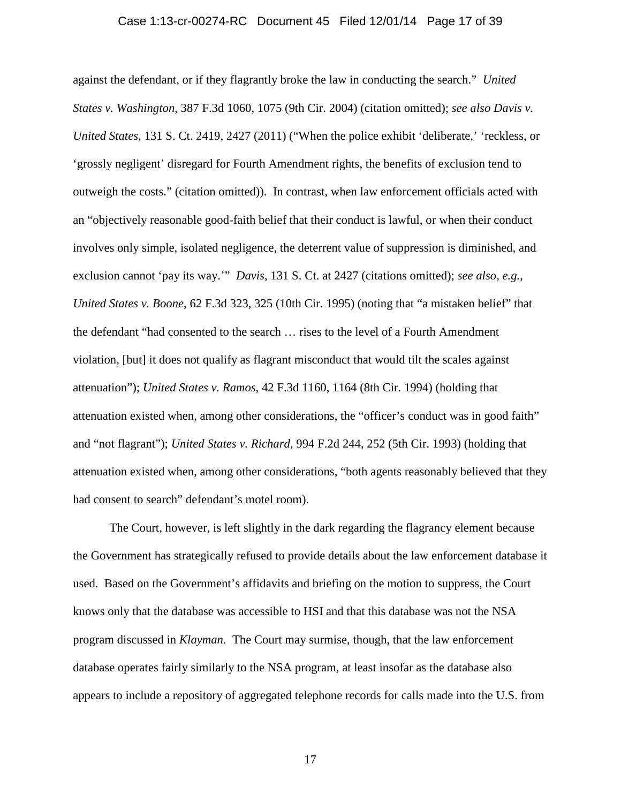### Case 1:13-cr-00274-RC Document 45 Filed 12/01/14 Page 17 of 39

against the defendant, or if they flagrantly broke the law in conducting the search." *United States v. Washington*, 387 F.3d 1060, 1075 (9th Cir. 2004) (citation omitted); *see also Davis v. United States*, 131 S. Ct. 2419, 2427 (2011) ("When the police exhibit 'deliberate,' 'reckless, or 'grossly negligent' disregard for Fourth Amendment rights, the benefits of exclusion tend to outweigh the costs." (citation omitted)). In contrast, when law enforcement officials acted with an "objectively reasonable good-faith belief that their conduct is lawful, or when their conduct involves only simple, isolated negligence, the deterrent value of suppression is diminished, and exclusion cannot 'pay its way.'" *Davis*, 131 S. Ct. at 2427 (citations omitted); *see also, e.g.*, *United States v. Boone*, 62 F.3d 323, 325 (10th Cir. 1995) (noting that "a mistaken belief" that the defendant "had consented to the search … rises to the level of a Fourth Amendment violation, [but] it does not qualify as flagrant misconduct that would tilt the scales against attenuation"); *United States v. Ramos*, 42 F.3d 1160, 1164 (8th Cir. 1994) (holding that attenuation existed when, among other considerations, the "officer's conduct was in good faith" and "not flagrant"); *United States v. Richard*, 994 F.2d 244, 252 (5th Cir. 1993) (holding that attenuation existed when, among other considerations, "both agents reasonably believed that they had consent to search" defendant's motel room).

The Court, however, is left slightly in the dark regarding the flagrancy element because the Government has strategically refused to provide details about the law enforcement database it used. Based on the Government's affidavits and briefing on the motion to suppress, the Court knows only that the database was accessible to HSI and that this database was not the NSA program discussed in *Klayman.* The Court may surmise, though, that the law enforcement database operates fairly similarly to the NSA program, at least insofar as the database also appears to include a repository of aggregated telephone records for calls made into the U.S. from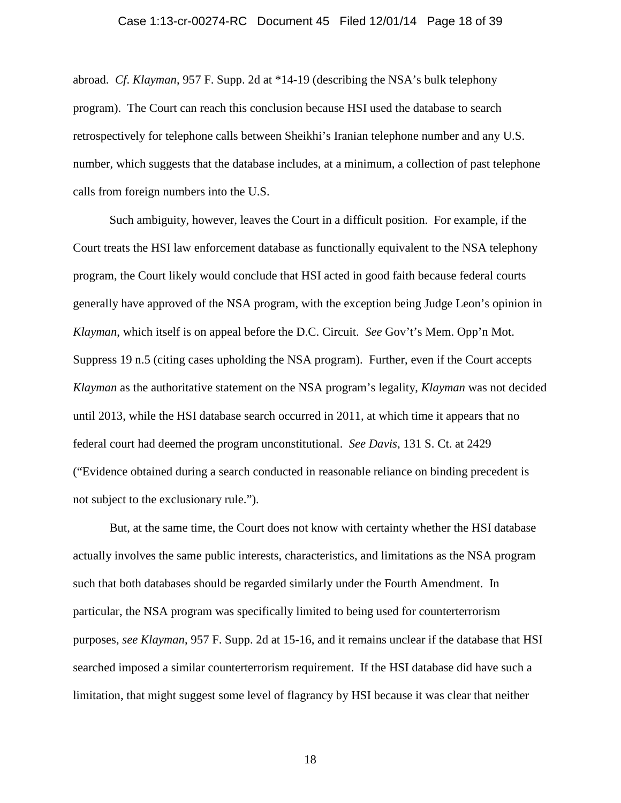### Case 1:13-cr-00274-RC Document 45 Filed 12/01/14 Page 18 of 39

abroad. *Cf*. *Klayman*, 957 F. Supp. 2d at \*14-19 (describing the NSA's bulk telephony program). The Court can reach this conclusion because HSI used the database to search retrospectively for telephone calls between Sheikhi's Iranian telephone number and any U.S. number, which suggests that the database includes, at a minimum, a collection of past telephone calls from foreign numbers into the U.S.

Such ambiguity, however, leaves the Court in a difficult position. For example, if the Court treats the HSI law enforcement database as functionally equivalent to the NSA telephony program, the Court likely would conclude that HSI acted in good faith because federal courts generally have approved of the NSA program, with the exception being Judge Leon's opinion in *Klayman*, which itself is on appeal before the D.C. Circuit. *See* Gov't's Mem. Opp'n Mot. Suppress 19 n.5 (citing cases upholding the NSA program). Further, even if the Court accepts *Klayman* as the authoritative statement on the NSA program's legality, *Klayman* was not decided until 2013, while the HSI database search occurred in 2011, at which time it appears that no federal court had deemed the program unconstitutional. *See Davis*, 131 S. Ct. at 2429 ("Evidence obtained during a search conducted in reasonable reliance on binding precedent is not subject to the exclusionary rule.").

But, at the same time, the Court does not know with certainty whether the HSI database actually involves the same public interests, characteristics, and limitations as the NSA program such that both databases should be regarded similarly under the Fourth Amendment. In particular, the NSA program was specifically limited to being used for counterterrorism purposes, *see Klayman*, 957 F. Supp. 2d at 15-16, and it remains unclear if the database that HSI searched imposed a similar counterterrorism requirement. If the HSI database did have such a limitation, that might suggest some level of flagrancy by HSI because it was clear that neither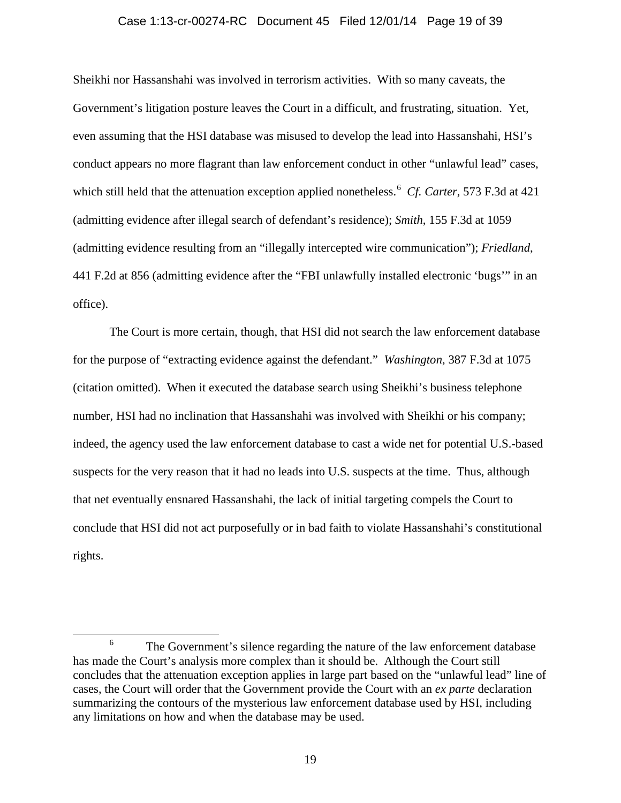#### Case 1:13-cr-00274-RC Document 45 Filed 12/01/14 Page 19 of 39

Sheikhi nor Hassanshahi was involved in terrorism activities. With so many caveats, the Government's litigation posture leaves the Court in a difficult, and frustrating, situation. Yet, even assuming that the HSI database was misused to develop the lead into Hassanshahi, HSI's conduct appears no more flagrant than law enforcement conduct in other "unlawful lead" cases, which still held that the attenuation exception applied nonetheless. [6](#page-18-0) *Cf. Carter*, 573 F.3d at 421 (admitting evidence after illegal search of defendant's residence); *Smith*, 155 F.3d at 1059 (admitting evidence resulting from an "illegally intercepted wire communication"); *Friedland*, 441 F.2d at 856 (admitting evidence after the "FBI unlawfully installed electronic 'bugs'" in an office).

The Court is more certain, though, that HSI did not search the law enforcement database for the purpose of "extracting evidence against the defendant." *Washington*, 387 F.3d at 1075 (citation omitted). When it executed the database search using Sheikhi's business telephone number, HSI had no inclination that Hassanshahi was involved with Sheikhi or his company; indeed, the agency used the law enforcement database to cast a wide net for potential U.S.-based suspects for the very reason that it had no leads into U.S. suspects at the time. Thus, although that net eventually ensnared Hassanshahi, the lack of initial targeting compels the Court to conclude that HSI did not act purposefully or in bad faith to violate Hassanshahi's constitutional rights.

<span id="page-18-0"></span><sup>&</sup>lt;sup>6</sup> The Government's silence regarding the nature of the law enforcement database has made the Court's analysis more complex than it should be. Although the Court still concludes that the attenuation exception applies in large part based on the "unlawful lead" line of cases, the Court will order that the Government provide the Court with an *ex parte* declaration summarizing the contours of the mysterious law enforcement database used by HSI, including any limitations on how and when the database may be used.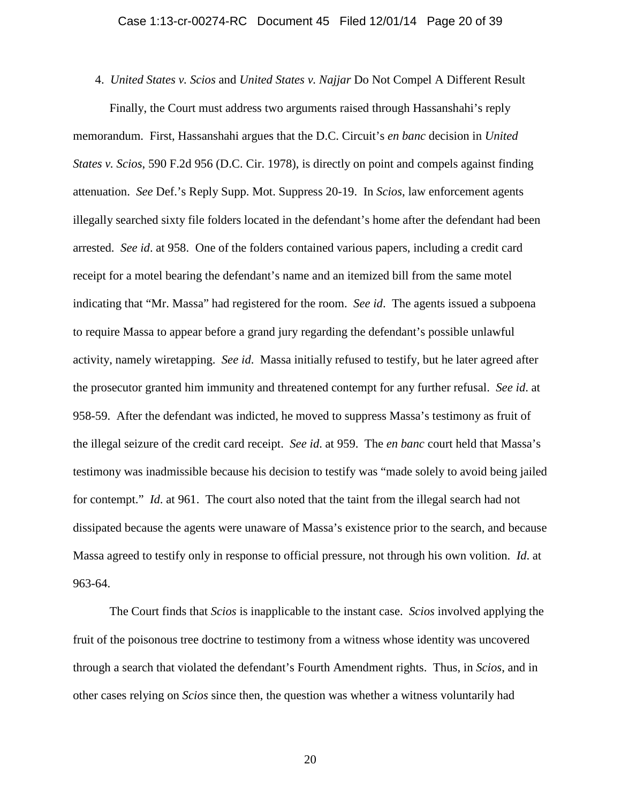4. *United States v. Scios* and *United States v. Najjar* Do Not Compel A Different Result Finally, the Court must address two arguments raised through Hassanshahi's reply memorandum. First, Hassanshahi argues that the D.C. Circuit's *en banc* decision in *United States v. Scios*, 590 F.2d 956 (D.C. Cir. 1978), is directly on point and compels against finding attenuation. *See* Def.'s Reply Supp. Mot. Suppress 20-19. In *Scios*, law enforcement agents illegally searched sixty file folders located in the defendant's home after the defendant had been arrested. *See id*. at 958. One of the folders contained various papers, including a credit card receipt for a motel bearing the defendant's name and an itemized bill from the same motel indicating that "Mr. Massa" had registered for the room. *See id*. The agents issued a subpoena to require Massa to appear before a grand jury regarding the defendant's possible unlawful activity, namely wiretapping. *See id*. Massa initially refused to testify, but he later agreed after the prosecutor granted him immunity and threatened contempt for any further refusal. *See id*. at 958-59. After the defendant was indicted, he moved to suppress Massa's testimony as fruit of the illegal seizure of the credit card receipt. *See id*. at 959. The *en banc* court held that Massa's testimony was inadmissible because his decision to testify was "made solely to avoid being jailed for contempt." *Id.* at 961. The court also noted that the taint from the illegal search had not dissipated because the agents were unaware of Massa's existence prior to the search, and because Massa agreed to testify only in response to official pressure, not through his own volition. *Id*. at 963-64.

The Court finds that *Scios* is inapplicable to the instant case. *Scios* involved applying the fruit of the poisonous tree doctrine to testimony from a witness whose identity was uncovered through a search that violated the defendant's Fourth Amendment rights. Thus, in *Scios*, and in other cases relying on *Scios* since then, the question was whether a witness voluntarily had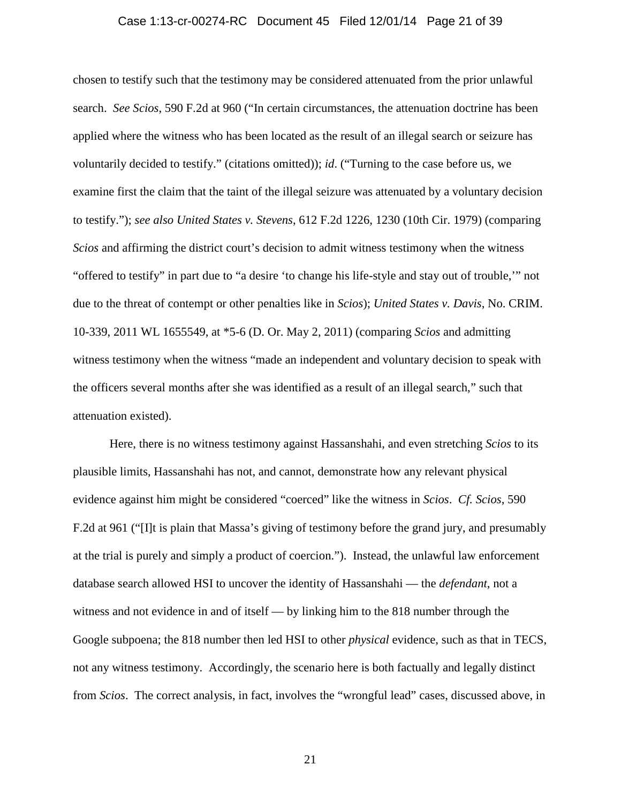### Case 1:13-cr-00274-RC Document 45 Filed 12/01/14 Page 21 of 39

chosen to testify such that the testimony may be considered attenuated from the prior unlawful search. *See Scios*, 590 F.2d at 960 ("In certain circumstances, the attenuation doctrine has been applied where the witness who has been located as the result of an illegal search or seizure has voluntarily decided to testify." (citations omitted)); *id*. ("Turning to the case before us, we examine first the claim that the taint of the illegal seizure was attenuated by a voluntary decision to testify."); *see also United States v. Stevens*, 612 F.2d 1226, 1230 (10th Cir. 1979) (comparing *Scios* and affirming the district court's decision to admit witness testimony when the witness "offered to testify" in part due to "a desire 'to change his life-style and stay out of trouble,'" not due to the threat of contempt or other penalties like in *Scios*); *United States v. Davis*, No. CRIM. 10-339, 2011 WL 1655549, at \*5-6 (D. Or. May 2, 2011) (comparing *Scios* and admitting witness testimony when the witness "made an independent and voluntary decision to speak with the officers several months after she was identified as a result of an illegal search," such that attenuation existed).

Here, there is no witness testimony against Hassanshahi, and even stretching *Scios* to its plausible limits, Hassanshahi has not, and cannot, demonstrate how any relevant physical evidence against him might be considered "coerced" like the witness in *Scios*. *Cf. Scios*, 590 F.2d at 961 ("[I]t is plain that Massa's giving of testimony before the grand jury, and presumably at the trial is purely and simply a product of coercion."). Instead, the unlawful law enforcement database search allowed HSI to uncover the identity of Hassanshahi — the *defendant*, not a witness and not evidence in and of itself — by linking him to the 818 number through the Google subpoena; the 818 number then led HSI to other *physical* evidence, such as that in TECS, not any witness testimony. Accordingly, the scenario here is both factually and legally distinct from *Scios*. The correct analysis, in fact, involves the "wrongful lead" cases, discussed above, in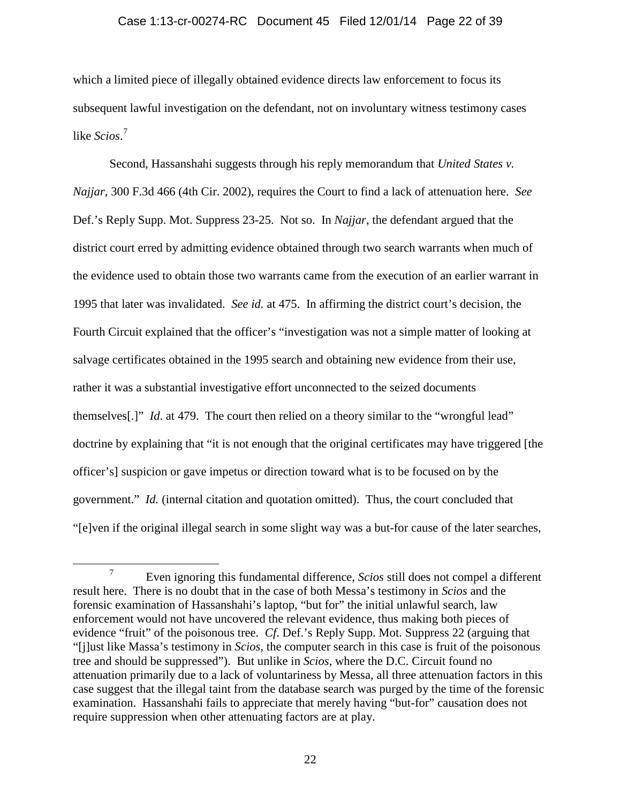### Case 1:13-cr-00274-RC Document 45 Filed 12/01/14 Page 22 of 39

which a limited piece of illegally obtained evidence directs law enforcement to focus its subsequent lawful investigation on the defendant, not on involuntary witness testimony cases like *Scios*. [7](#page-21-0)

Second, Hassanshahi suggests through his reply memorandum that *United States v. Najjar*, 300 F.3d 466 (4th Cir. 2002), requires the Court to find a lack of attenuation here. *See* Def.'s Reply Supp. Mot. Suppress 23-25. Not so. In *Najjar*, the defendant argued that the district court erred by admitting evidence obtained through two search warrants when much of the evidence used to obtain those two warrants came from the execution of an earlier warrant in 1995 that later was invalidated. *See id.* at 475. In affirming the district court's decision, the Fourth Circuit explained that the officer's "investigation was not a simple matter of looking at salvage certificates obtained in the 1995 search and obtaining new evidence from their use, rather it was a substantial investigative effort unconnected to the seized documents themselves[.]" *Id*. at 479. The court then relied on a theory similar to the "wrongful lead" doctrine by explaining that "it is not enough that the original certificates may have triggered [the officer's] suspicion or gave impetus or direction toward what is to be focused on by the government." *Id.* (internal citation and quotation omitted). Thus, the court concluded that "[e]ven if the original illegal search in some slight way was a but-for cause of the later searches,

<span id="page-21-0"></span> <sup>7</sup> Even ignoring this fundamental difference, *Scios* still does not compel a different result here. There is no doubt that in the case of both Messa's testimony in *Scios* and the forensic examination of Hassanshahi's laptop, "but for" the initial unlawful search, law enforcement would not have uncovered the relevant evidence, thus making both pieces of evidence "fruit" of the poisonous tree. *Cf*. Def.'s Reply Supp. Mot. Suppress 22 (arguing that "[j]ust like Massa's testimony in *Scios*, the computer search in this case is fruit of the poisonous tree and should be suppressed"). But unlike in *Scios*, where the D.C. Circuit found no attenuation primarily due to a lack of voluntariness by Messa, all three attenuation factors in this case suggest that the illegal taint from the database search was purged by the time of the forensic examination. Hassanshahi fails to appreciate that merely having "but-for" causation does not require suppression when other attenuating factors are at play.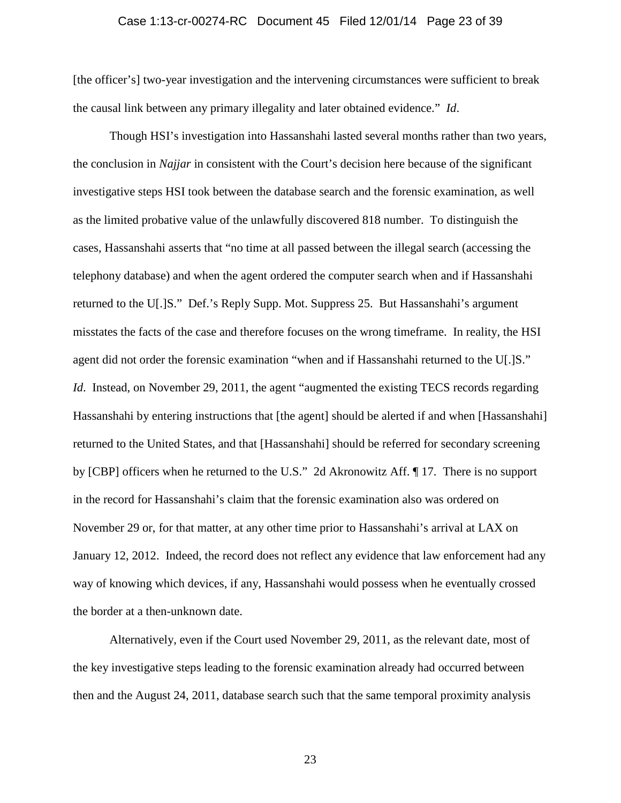### Case 1:13-cr-00274-RC Document 45 Filed 12/01/14 Page 23 of 39

[the officer's] two-year investigation and the intervening circumstances were sufficient to break the causal link between any primary illegality and later obtained evidence." *Id*.

Though HSI's investigation into Hassanshahi lasted several months rather than two years, the conclusion in *Najjar* in consistent with the Court's decision here because of the significant investigative steps HSI took between the database search and the forensic examination, as well as the limited probative value of the unlawfully discovered 818 number. To distinguish the cases, Hassanshahi asserts that "no time at all passed between the illegal search (accessing the telephony database) and when the agent ordered the computer search when and if Hassanshahi returned to the U[.]S." Def.'s Reply Supp. Mot. Suppress 25. But Hassanshahi's argument misstates the facts of the case and therefore focuses on the wrong timeframe. In reality, the HSI agent did not order the forensic examination "when and if Hassanshahi returned to the U[.]S." *Id.* Instead, on November 29, 2011, the agent "augmented the existing TECS records regarding Hassanshahi by entering instructions that [the agent] should be alerted if and when [Hassanshahi] returned to the United States, and that [Hassanshahi] should be referred for secondary screening by [CBP] officers when he returned to the U.S." 2d Akronowitz Aff. ¶ 17. There is no support in the record for Hassanshahi's claim that the forensic examination also was ordered on November 29 or, for that matter, at any other time prior to Hassanshahi's arrival at LAX on January 12, 2012. Indeed, the record does not reflect any evidence that law enforcement had any way of knowing which devices, if any, Hassanshahi would possess when he eventually crossed the border at a then-unknown date.

Alternatively, even if the Court used November 29, 2011, as the relevant date, most of the key investigative steps leading to the forensic examination already had occurred between then and the August 24, 2011, database search such that the same temporal proximity analysis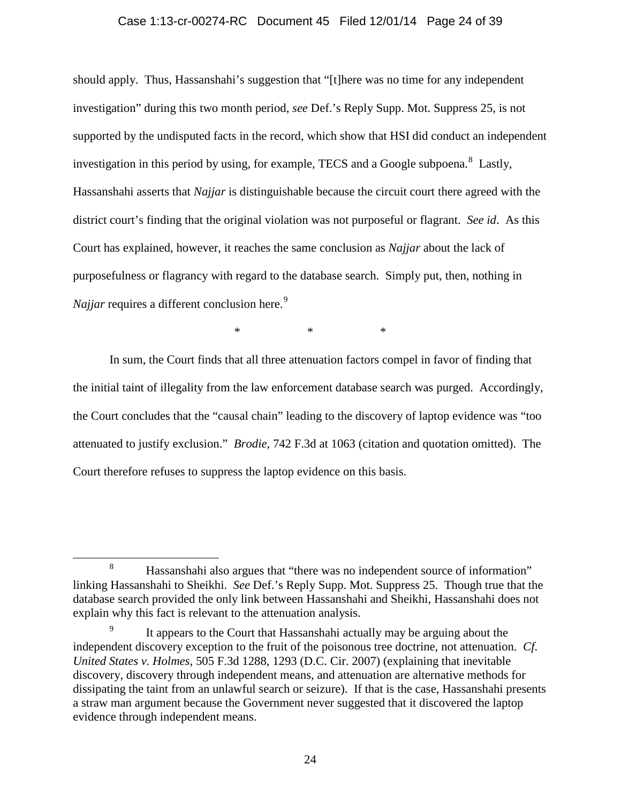### Case 1:13-cr-00274-RC Document 45 Filed 12/01/14 Page 24 of 39

should apply. Thus, Hassanshahi's suggestion that "[t]here was no time for any independent investigation" during this two month period, *see* Def.'s Reply Supp. Mot. Suppress 25, is not supported by the undisputed facts in the record, which show that HSI did conduct an independent investigation in this period by using, for example, TECS and a Google subpoena.<sup>[8](#page-23-0)</sup> Lastly, Hassanshahi asserts that *Najjar* is distinguishable because the circuit court there agreed with the district court's finding that the original violation was not purposeful or flagrant. *See id*. As this Court has explained, however, it reaches the same conclusion as *Najjar* about the lack of purposefulness or flagrancy with regard to the database search. Simply put, then, nothing in *Najjar* requires a different conclusion here.<sup>[9](#page-23-1)</sup>

 $*$  \* \* \*

In sum, the Court finds that all three attenuation factors compel in favor of finding that the initial taint of illegality from the law enforcement database search was purged. Accordingly, the Court concludes that the "causal chain" leading to the discovery of laptop evidence was "too attenuated to justify exclusion." *Brodie*, 742 F.3d at 1063 (citation and quotation omitted). The Court therefore refuses to suppress the laptop evidence on this basis.

<span id="page-23-0"></span> <sup>8</sup> Hassanshahi also argues that "there was no independent source of information" linking Hassanshahi to Sheikhi. *See* Def.'s Reply Supp. Mot. Suppress 25. Though true that the database search provided the only link between Hassanshahi and Sheikhi, Hassanshahi does not explain why this fact is relevant to the attenuation analysis.

<span id="page-23-1"></span>It appears to the Court that Hassanshahi actually may be arguing about the independent discovery exception to the fruit of the poisonous tree doctrine, not attenuation. *Cf*. *United States v. Holmes*, 505 F.3d 1288, 1293 (D.C. Cir. 2007) (explaining that inevitable discovery, discovery through independent means, and attenuation are alternative methods for dissipating the taint from an unlawful search or seizure). If that is the case, Hassanshahi presents a straw man argument because the Government never suggested that it discovered the laptop evidence through independent means.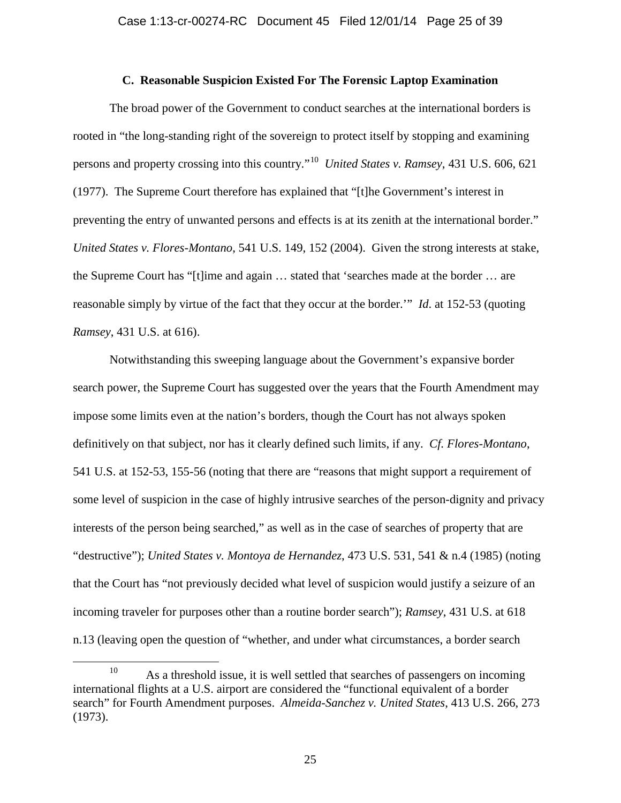### **C. Reasonable Suspicion Existed For The Forensic Laptop Examination**

The broad power of the Government to conduct searches at the international borders is rooted in "the long-standing right of the sovereign to protect itself by stopping and examining persons and property crossing into this country."[10](#page-24-0) *United States v. Ramsey*, 431 U.S. 606, 621 (1977). The Supreme Court therefore has explained that "[t]he Government's interest in preventing the entry of unwanted persons and effects is at its zenith at the international border." *United States v. Flores-Montano*, 541 U.S. 149, 152 (2004). Given the strong interests at stake, the Supreme Court has "[t]ime and again … stated that 'searches made at the border … are reasonable simply by virtue of the fact that they occur at the border.'" *Id*. at 152-53 (quoting *Ramsey*, 431 U.S. at 616).

Notwithstanding this sweeping language about the Government's expansive border search power, the Supreme Court has suggested over the years that the Fourth Amendment may impose some limits even at the nation's borders, though the Court has not always spoken definitively on that subject, nor has it clearly defined such limits, if any. *Cf. Flores-Montano*, 541 U.S. at 152-53, 155-56 (noting that there are "reasons that might support a requirement of some level of suspicion in the case of highly intrusive searches of the person-dignity and privacy interests of the person being searched," as well as in the case of searches of property that are "destructive"); *United States v. Montoya de Hernandez*, 473 U.S. 531, 541 & n.4 (1985) (noting that the Court has "not previously decided what level of suspicion would justify a seizure of an incoming traveler for purposes other than a routine border search"); *Ramsey*, 431 U.S. at 618 n.13 (leaving open the question of "whether, and under what circumstances, a border search

<span id="page-24-0"></span><sup>&</sup>lt;sup>10</sup> As a threshold issue, it is well settled that searches of passengers on incoming international flights at a U.S. airport are considered the "functional equivalent of a border search" for Fourth Amendment purposes. *Almeida-Sanchez v. United States*, 413 U.S. 266, 273 (1973).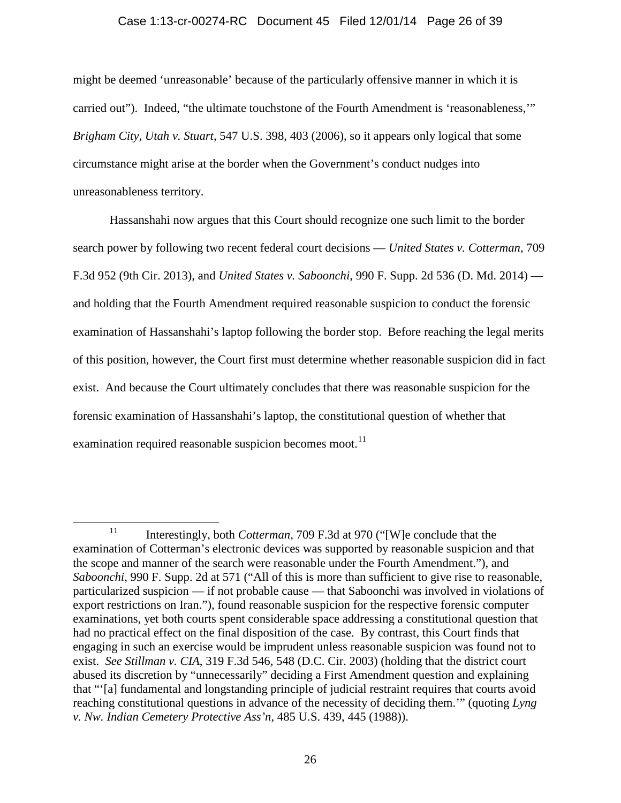### Case 1:13-cr-00274-RC Document 45 Filed 12/01/14 Page 26 of 39

might be deemed 'unreasonable' because of the particularly offensive manner in which it is carried out"). Indeed, "the ultimate touchstone of the Fourth Amendment is 'reasonableness,'" *Brigham City, Utah v. Stuart*, 547 U.S. 398, 403 (2006), so it appears only logical that some circumstance might arise at the border when the Government's conduct nudges into unreasonableness territory.

Hassanshahi now argues that this Court should recognize one such limit to the border search power by following two recent federal court decisions — *United States v. Cotterman*, 709 F.3d 952 (9th Cir. 2013), and *United States v. Saboonchi*, 990 F. Supp. 2d 536 (D. Md. 2014) and holding that the Fourth Amendment required reasonable suspicion to conduct the forensic examination of Hassanshahi's laptop following the border stop. Before reaching the legal merits of this position, however, the Court first must determine whether reasonable suspicion did in fact exist. And because the Court ultimately concludes that there was reasonable suspicion for the forensic examination of Hassanshahi's laptop, the constitutional question of whether that examination required reasonable suspicion becomes moot.<sup>[11](#page-25-0)</sup>

<span id="page-25-0"></span><sup>&</sup>lt;sup>11</sup> Interestingly, both *Cotterman*, 709 F.3d at 970 ("[W]e conclude that the examination of Cotterman's electronic devices was supported by reasonable suspicion and that the scope and manner of the search were reasonable under the Fourth Amendment."), and *Saboonchi*, 990 F. Supp. 2d at 571 ("All of this is more than sufficient to give rise to reasonable, particularized suspicion — if not probable cause — that Saboonchi was involved in violations of export restrictions on Iran."), found reasonable suspicion for the respective forensic computer examinations, yet both courts spent considerable space addressing a constitutional question that had no practical effect on the final disposition of the case. By contrast, this Court finds that engaging in such an exercise would be imprudent unless reasonable suspicion was found not to exist. *See Stillman v. CIA*, 319 F.3d 546, 548 (D.C. Cir. 2003) (holding that the district court abused its discretion by "unnecessarily" deciding a First Amendment question and explaining that "'[a] fundamental and longstanding principle of judicial restraint requires that courts avoid reaching constitutional questions in advance of the necessity of deciding them.'" (quoting *Lyng v. Nw. Indian Cemetery Protective Ass'n*, 485 U.S. 439, 445 (1988)).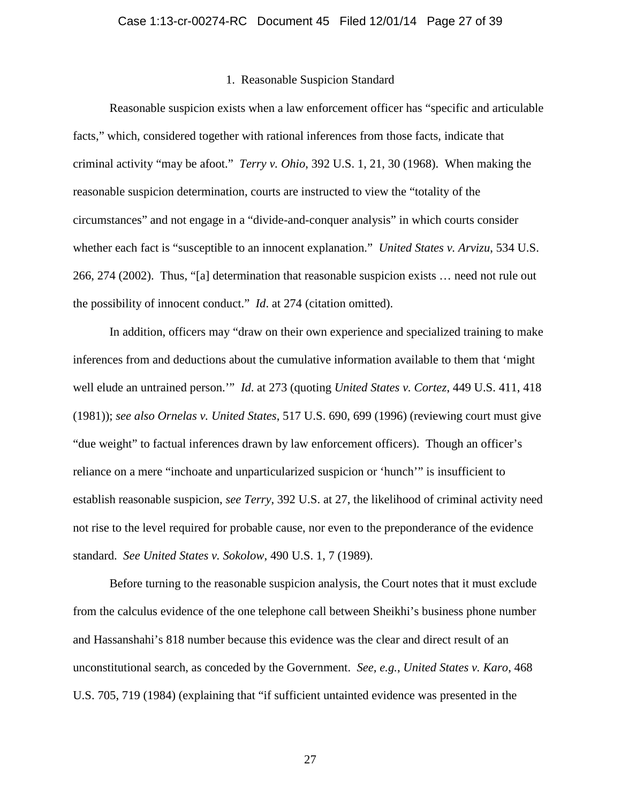#### 1. Reasonable Suspicion Standard

Reasonable suspicion exists when a law enforcement officer has "specific and articulable facts," which, considered together with rational inferences from those facts, indicate that criminal activity "may be afoot." *Terry v. Ohio*, 392 U.S. 1, 21, 30 (1968). When making the reasonable suspicion determination, courts are instructed to view the "totality of the circumstances" and not engage in a "divide-and-conquer analysis" in which courts consider whether each fact is "susceptible to an innocent explanation." *United States v. Arvizu*, 534 U.S. 266, 274 (2002). Thus, "[a] determination that reasonable suspicion exists … need not rule out the possibility of innocent conduct." *Id*. at 274 (citation omitted).

In addition, officers may "draw on their own experience and specialized training to make inferences from and deductions about the cumulative information available to them that 'might well elude an untrained person.'" *Id*. at 273 (quoting *United States v. Cortez*, 449 U.S. 411, 418 (1981)); *see also Ornelas v. United States*, 517 U.S. 690, 699 (1996) (reviewing court must give "due weight" to factual inferences drawn by law enforcement officers). Though an officer's reliance on a mere "inchoate and unparticularized suspicion or 'hunch'" is insufficient to establish reasonable suspicion, *see Terry*, 392 U.S. at 27, the likelihood of criminal activity need not rise to the level required for probable cause, nor even to the preponderance of the evidence standard. *See United States v. Sokolow*, 490 U.S. 1, 7 (1989).

Before turning to the reasonable suspicion analysis, the Court notes that it must exclude from the calculus evidence of the one telephone call between Sheikhi's business phone number and Hassanshahi's 818 number because this evidence was the clear and direct result of an unconstitutional search, as conceded by the Government. *See, e.g.*, *United States v. Karo*, 468 U.S. 705, 719 (1984) (explaining that "if sufficient untainted evidence was presented in the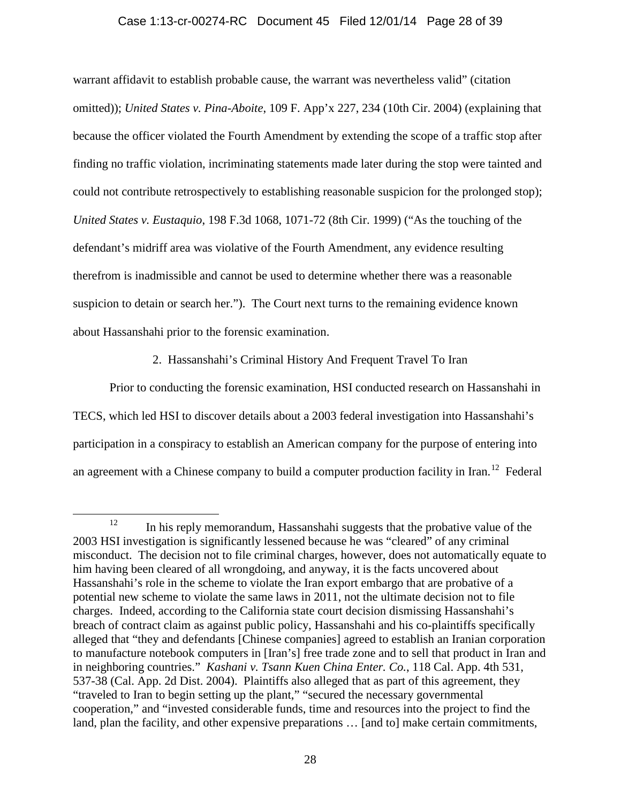# Case 1:13-cr-00274-RC Document 45 Filed 12/01/14 Page 28 of 39

warrant affidavit to establish probable cause, the warrant was nevertheless valid" (citation omitted)); *United States v. Pina-Aboite*, 109 F. App'x 227, 234 (10th Cir. 2004) (explaining that because the officer violated the Fourth Amendment by extending the scope of a traffic stop after finding no traffic violation, incriminating statements made later during the stop were tainted and could not contribute retrospectively to establishing reasonable suspicion for the prolonged stop); *United States v. Eustaquio*, 198 F.3d 1068, 1071-72 (8th Cir. 1999) ("As the touching of the defendant's midriff area was violative of the Fourth Amendment, any evidence resulting therefrom is inadmissible and cannot be used to determine whether there was a reasonable suspicion to detain or search her."). The Court next turns to the remaining evidence known about Hassanshahi prior to the forensic examination.

2. Hassanshahi's Criminal History And Frequent Travel To Iran

Prior to conducting the forensic examination, HSI conducted research on Hassanshahi in TECS, which led HSI to discover details about a 2003 federal investigation into Hassanshahi's participation in a conspiracy to establish an American company for the purpose of entering into an agreement with a Chinese company to build a computer production facility in Iran.<sup>12</sup> Federal

<span id="page-27-0"></span> $12$  In his reply memorandum, Hassanshahi suggests that the probative value of the 2003 HSI investigation is significantly lessened because he was "cleared" of any criminal misconduct. The decision not to file criminal charges, however, does not automatically equate to him having been cleared of all wrongdoing, and anyway, it is the facts uncovered about Hassanshahi's role in the scheme to violate the Iran export embargo that are probative of a potential new scheme to violate the same laws in 2011, not the ultimate decision not to file charges. Indeed, according to the California state court decision dismissing Hassanshahi's breach of contract claim as against public policy, Hassanshahi and his co-plaintiffs specifically alleged that "they and defendants [Chinese companies] agreed to establish an Iranian corporation to manufacture notebook computers in [Iran's] free trade zone and to sell that product in Iran and in neighboring countries." *Kashani v. Tsann Kuen China Enter. Co.*, 118 Cal. App. 4th 531, 537-38 (Cal. App. 2d Dist. 2004). Plaintiffs also alleged that as part of this agreement, they "traveled to Iran to begin setting up the plant," "secured the necessary governmental cooperation," and "invested considerable funds, time and resources into the project to find the land, plan the facility, and other expensive preparations ... [and to] make certain commitments,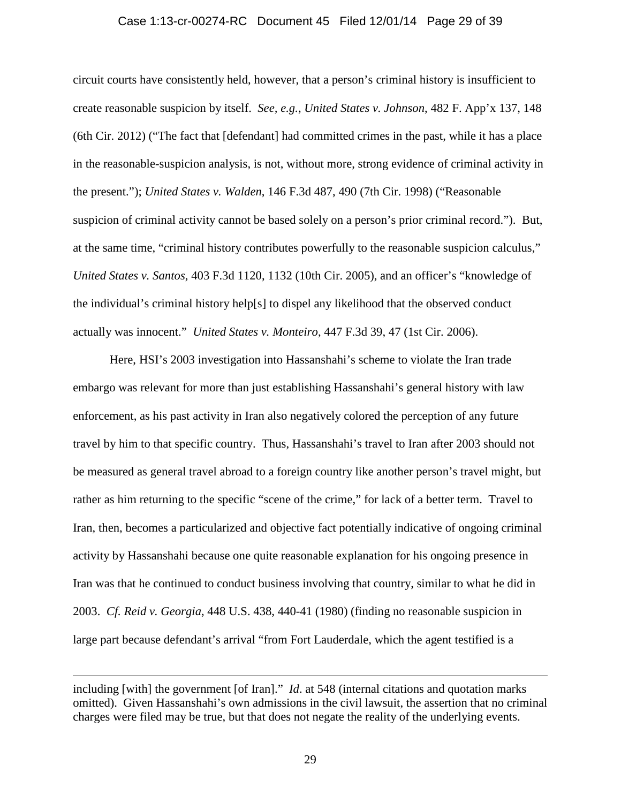#### Case 1:13-cr-00274-RC Document 45 Filed 12/01/14 Page 29 of 39

circuit courts have consistently held, however, that a person's criminal history is insufficient to create reasonable suspicion by itself. *See, e.g.*, *United States v. Johnson*, 482 F. App'x 137, 148 (6th Cir. 2012) ("The fact that [defendant] had committed crimes in the past, while it has a place in the reasonable-suspicion analysis, is not, without more, strong evidence of criminal activity in the present."); *United States v. Walden*, 146 F.3d 487, 490 (7th Cir. 1998) ("Reasonable suspicion of criminal activity cannot be based solely on a person's prior criminal record."). But, at the same time, "criminal history contributes powerfully to the reasonable suspicion calculus," *United States v. Santos*, 403 F.3d 1120, 1132 (10th Cir. 2005), and an officer's "knowledge of the individual's criminal history help[s] to dispel any likelihood that the observed conduct actually was innocent." *United States v. Monteiro*, 447 F.3d 39, 47 (1st Cir. 2006).

Here, HSI's 2003 investigation into Hassanshahi's scheme to violate the Iran trade embargo was relevant for more than just establishing Hassanshahi's general history with law enforcement, as his past activity in Iran also negatively colored the perception of any future travel by him to that specific country. Thus, Hassanshahi's travel to Iran after 2003 should not be measured as general travel abroad to a foreign country like another person's travel might, but rather as him returning to the specific "scene of the crime," for lack of a better term. Travel to Iran, then, becomes a particularized and objective fact potentially indicative of ongoing criminal activity by Hassanshahi because one quite reasonable explanation for his ongoing presence in Iran was that he continued to conduct business involving that country, similar to what he did in 2003. *Cf. Reid v. Georgia*, 448 U.S. 438, 440-41 (1980) (finding no reasonable suspicion in large part because defendant's arrival "from Fort Lauderdale, which the agent testified is a

 $\overline{a}$ 

including [with] the government [of Iran]." *Id*. at 548 (internal citations and quotation marks omitted). Given Hassanshahi's own admissions in the civil lawsuit, the assertion that no criminal charges were filed may be true, but that does not negate the reality of the underlying events.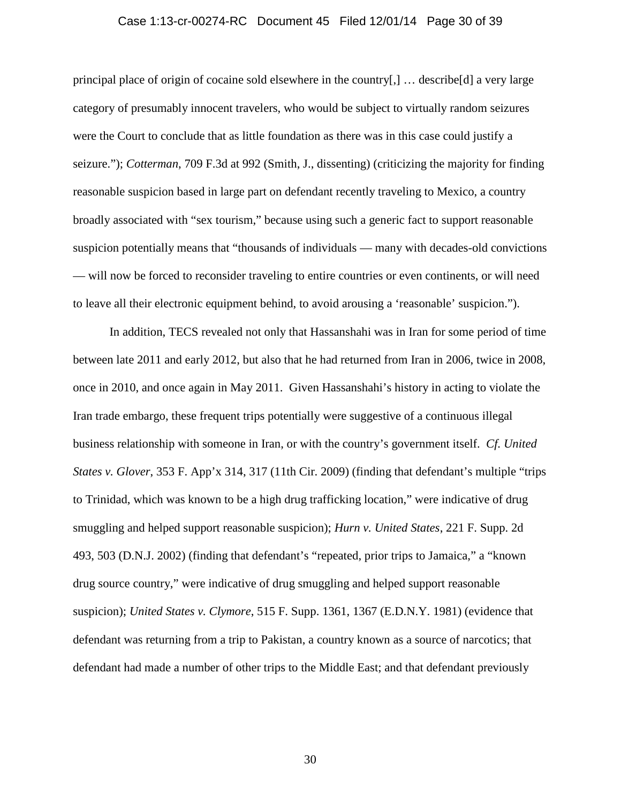### Case 1:13-cr-00274-RC Document 45 Filed 12/01/14 Page 30 of 39

principal place of origin of cocaine sold elsewhere in the country[,] … describe[d] a very large category of presumably innocent travelers, who would be subject to virtually random seizures were the Court to conclude that as little foundation as there was in this case could justify a seizure."); *Cotterman*, 709 F.3d at 992 (Smith, J., dissenting) (criticizing the majority for finding reasonable suspicion based in large part on defendant recently traveling to Mexico, a country broadly associated with "sex tourism," because using such a generic fact to support reasonable suspicion potentially means that "thousands of individuals — many with decades-old convictions — will now be forced to reconsider traveling to entire countries or even continents, or will need to leave all their electronic equipment behind, to avoid arousing a 'reasonable' suspicion.").

In addition, TECS revealed not only that Hassanshahi was in Iran for some period of time between late 2011 and early 2012, but also that he had returned from Iran in 2006, twice in 2008, once in 2010, and once again in May 2011. Given Hassanshahi's history in acting to violate the Iran trade embargo, these frequent trips potentially were suggestive of a continuous illegal business relationship with someone in Iran, or with the country's government itself. *Cf. United States v. Glover*, 353 F. App'x 314, 317 (11th Cir. 2009) (finding that defendant's multiple "trips to Trinidad, which was known to be a high drug trafficking location," were indicative of drug smuggling and helped support reasonable suspicion); *Hurn v. United States*, 221 F. Supp. 2d 493, 503 (D.N.J. 2002) (finding that defendant's "repeated, prior trips to Jamaica," a "known drug source country," were indicative of drug smuggling and helped support reasonable suspicion); *United States v. Clymore*, 515 F. Supp. 1361, 1367 (E.D.N.Y. 1981) (evidence that defendant was returning from a trip to Pakistan, a country known as a source of narcotics; that defendant had made a number of other trips to the Middle East; and that defendant previously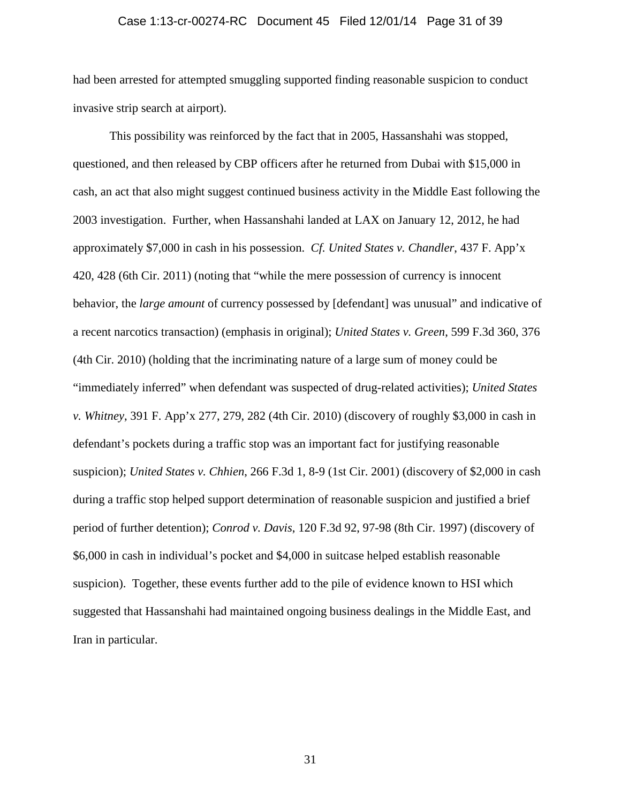### Case 1:13-cr-00274-RC Document 45 Filed 12/01/14 Page 31 of 39

had been arrested for attempted smuggling supported finding reasonable suspicion to conduct invasive strip search at airport).

This possibility was reinforced by the fact that in 2005, Hassanshahi was stopped, questioned, and then released by CBP officers after he returned from Dubai with \$15,000 in cash, an act that also might suggest continued business activity in the Middle East following the 2003 investigation. Further, when Hassanshahi landed at LAX on January 12, 2012, he had approximately \$7,000 in cash in his possession. *Cf. United States v. Chandler*, 437 F. App'x 420, 428 (6th Cir. 2011) (noting that "while the mere possession of currency is innocent behavior, the *large amount* of currency possessed by [defendant] was unusual" and indicative of a recent narcotics transaction) (emphasis in original); *United States v. Green*, 599 F.3d 360, 376 (4th Cir. 2010) (holding that the incriminating nature of a large sum of money could be "immediately inferred" when defendant was suspected of drug-related activities); *United States v. Whitney*, 391 F. App'x 277, 279, 282 (4th Cir. 2010) (discovery of roughly \$3,000 in cash in defendant's pockets during a traffic stop was an important fact for justifying reasonable suspicion); *United States v. Chhien*, 266 F.3d 1, 8-9 (1st Cir. 2001) (discovery of \$2,000 in cash during a traffic stop helped support determination of reasonable suspicion and justified a brief period of further detention); *Conrod v. Davis*, 120 F.3d 92, 97-98 (8th Cir. 1997) (discovery of \$6,000 in cash in individual's pocket and \$4,000 in suitcase helped establish reasonable suspicion). Together, these events further add to the pile of evidence known to HSI which suggested that Hassanshahi had maintained ongoing business dealings in the Middle East, and Iran in particular.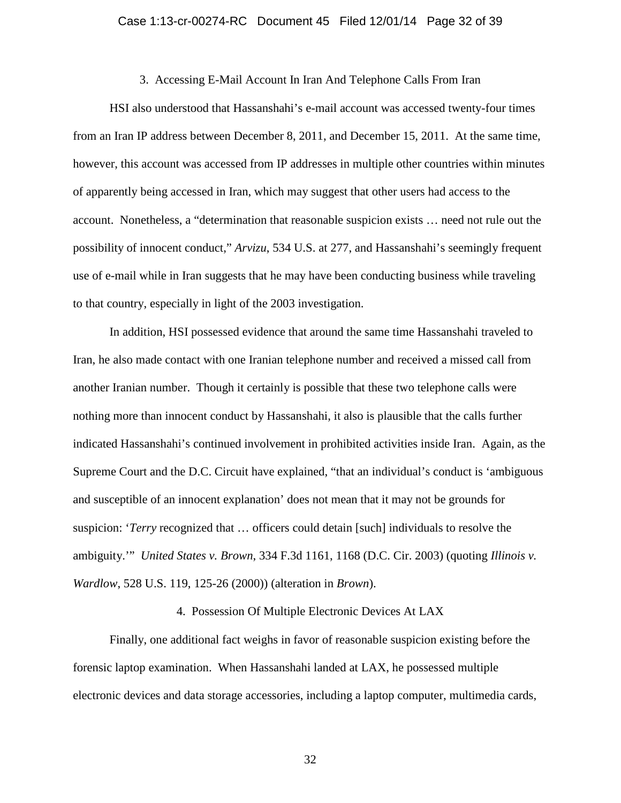#### 3. Accessing E-Mail Account In Iran And Telephone Calls From Iran

HSI also understood that Hassanshahi's e-mail account was accessed twenty-four times from an Iran IP address between December 8, 2011, and December 15, 2011. At the same time, however, this account was accessed from IP addresses in multiple other countries within minutes of apparently being accessed in Iran, which may suggest that other users had access to the account. Nonetheless, a "determination that reasonable suspicion exists … need not rule out the possibility of innocent conduct," *Arvizu*, 534 U.S. at 277, and Hassanshahi's seemingly frequent use of e-mail while in Iran suggests that he may have been conducting business while traveling to that country, especially in light of the 2003 investigation.

In addition, HSI possessed evidence that around the same time Hassanshahi traveled to Iran, he also made contact with one Iranian telephone number and received a missed call from another Iranian number. Though it certainly is possible that these two telephone calls were nothing more than innocent conduct by Hassanshahi, it also is plausible that the calls further indicated Hassanshahi's continued involvement in prohibited activities inside Iran. Again, as the Supreme Court and the D.C. Circuit have explained, "that an individual's conduct is 'ambiguous and susceptible of an innocent explanation' does not mean that it may not be grounds for suspicion: '*Terry* recognized that … officers could detain [such] individuals to resolve the ambiguity.'" *United States v. Brown*, 334 F.3d 1161, 1168 (D.C. Cir. 2003) (quoting *Illinois v. Wardlow*, 528 U.S. 119, 125-26 (2000)) (alteration in *Brown*).

# 4. Possession Of Multiple Electronic Devices At LAX

Finally, one additional fact weighs in favor of reasonable suspicion existing before the forensic laptop examination. When Hassanshahi landed at LAX, he possessed multiple electronic devices and data storage accessories, including a laptop computer, multimedia cards,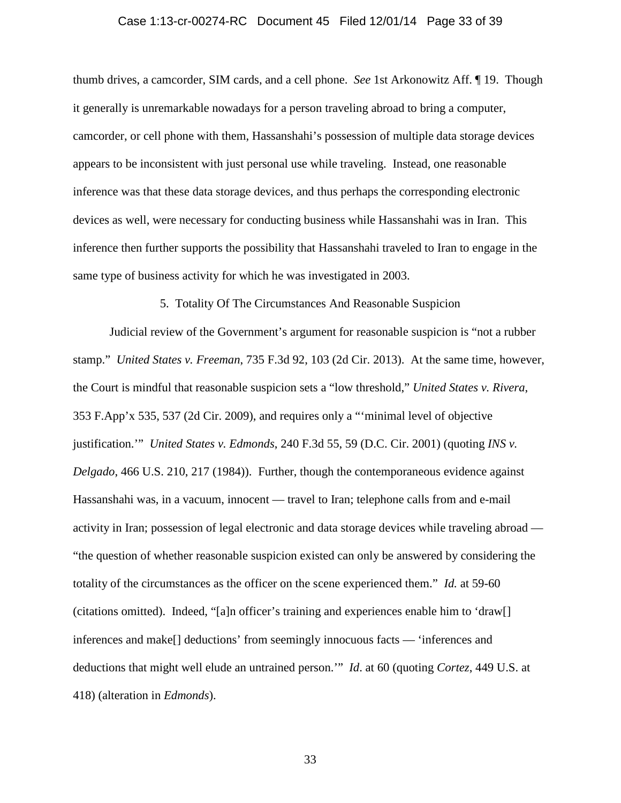# Case 1:13-cr-00274-RC Document 45 Filed 12/01/14 Page 33 of 39

thumb drives, a camcorder, SIM cards, and a cell phone. *See* 1st Arkonowitz Aff. ¶ 19. Though it generally is unremarkable nowadays for a person traveling abroad to bring a computer, camcorder, or cell phone with them, Hassanshahi's possession of multiple data storage devices appears to be inconsistent with just personal use while traveling. Instead, one reasonable inference was that these data storage devices, and thus perhaps the corresponding electronic devices as well, were necessary for conducting business while Hassanshahi was in Iran. This inference then further supports the possibility that Hassanshahi traveled to Iran to engage in the same type of business activity for which he was investigated in 2003.

5. Totality Of The Circumstances And Reasonable Suspicion

Judicial review of the Government's argument for reasonable suspicion is "not a rubber stamp." *United States v. Freeman*, 735 F.3d 92, 103 (2d Cir. 2013). At the same time, however, the Court is mindful that reasonable suspicion sets a "low threshold," *United States v. Rivera*, 353 F.App'x 535, 537 (2d Cir. 2009), and requires only a "'minimal level of objective justification.'" *United States v. Edmonds*, 240 F.3d 55, 59 (D.C. Cir. 2001) (quoting *INS v. Delgado*, 466 U.S. 210, 217 (1984)). Further, though the contemporaneous evidence against Hassanshahi was, in a vacuum, innocent — travel to Iran; telephone calls from and e-mail activity in Iran; possession of legal electronic and data storage devices while traveling abroad — "the question of whether reasonable suspicion existed can only be answered by considering the totality of the circumstances as the officer on the scene experienced them." *Id.* at 59-60 (citations omitted). Indeed, "[a]n officer's training and experiences enable him to 'draw[] inferences and make[] deductions' from seemingly innocuous facts — 'inferences and deductions that might well elude an untrained person.'" *Id*. at 60 (quoting *Cortez*, 449 U.S. at 418) (alteration in *Edmonds*).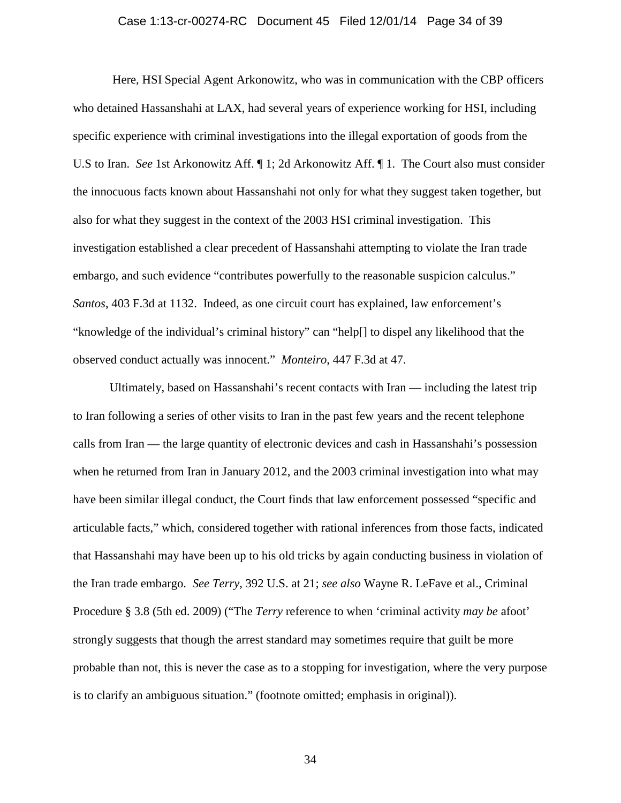### Case 1:13-cr-00274-RC Document 45 Filed 12/01/14 Page 34 of 39

Here, HSI Special Agent Arkonowitz, who was in communication with the CBP officers who detained Hassanshahi at LAX, had several years of experience working for HSI, including specific experience with criminal investigations into the illegal exportation of goods from the U.S to Iran. *See* 1st Arkonowitz Aff. ¶ 1; 2d Arkonowitz Aff. ¶ 1. The Court also must consider the innocuous facts known about Hassanshahi not only for what they suggest taken together, but also for what they suggest in the context of the 2003 HSI criminal investigation. This investigation established a clear precedent of Hassanshahi attempting to violate the Iran trade embargo, and such evidence "contributes powerfully to the reasonable suspicion calculus." *Santos*, 403 F.3d at 1132. Indeed, as one circuit court has explained, law enforcement's "knowledge of the individual's criminal history" can "help[] to dispel any likelihood that the observed conduct actually was innocent." *Monteiro*, 447 F.3d at 47.

Ultimately, based on Hassanshahi's recent contacts with Iran — including the latest trip to Iran following a series of other visits to Iran in the past few years and the recent telephone calls from Iran — the large quantity of electronic devices and cash in Hassanshahi's possession when he returned from Iran in January 2012, and the 2003 criminal investigation into what may have been similar illegal conduct, the Court finds that law enforcement possessed "specific and articulable facts," which, considered together with rational inferences from those facts, indicated that Hassanshahi may have been up to his old tricks by again conducting business in violation of the Iran trade embargo. *See Terry*, 392 U.S. at 21; *see also* Wayne R. LeFave et al., Criminal Procedure § 3.8 (5th ed. 2009) ("The *Terry* reference to when 'criminal activity *may be* afoot' strongly suggests that though the arrest standard may sometimes require that guilt be more probable than not, this is never the case as to a stopping for investigation, where the very purpose is to clarify an ambiguous situation." (footnote omitted; emphasis in original)).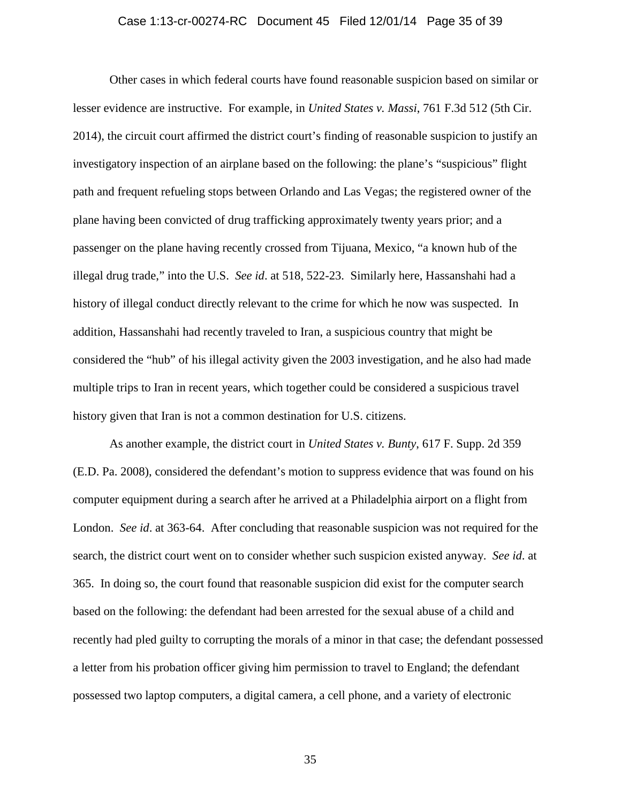# Case 1:13-cr-00274-RC Document 45 Filed 12/01/14 Page 35 of 39

Other cases in which federal courts have found reasonable suspicion based on similar or lesser evidence are instructive. For example, in *United States v. Massi*, 761 F.3d 512 (5th Cir. 2014), the circuit court affirmed the district court's finding of reasonable suspicion to justify an investigatory inspection of an airplane based on the following: the plane's "suspicious" flight path and frequent refueling stops between Orlando and Las Vegas; the registered owner of the plane having been convicted of drug trafficking approximately twenty years prior; and a passenger on the plane having recently crossed from Tijuana, Mexico, "a known hub of the illegal drug trade," into the U.S. *See id*. at 518, 522-23. Similarly here, Hassanshahi had a history of illegal conduct directly relevant to the crime for which he now was suspected. In addition, Hassanshahi had recently traveled to Iran, a suspicious country that might be considered the "hub" of his illegal activity given the 2003 investigation, and he also had made multiple trips to Iran in recent years, which together could be considered a suspicious travel history given that Iran is not a common destination for U.S. citizens.

As another example, the district court in *United States v. Bunty*, 617 F. Supp. 2d 359 (E.D. Pa. 2008), considered the defendant's motion to suppress evidence that was found on his computer equipment during a search after he arrived at a Philadelphia airport on a flight from London. *See id*. at 363-64. After concluding that reasonable suspicion was not required for the search, the district court went on to consider whether such suspicion existed anyway. *See id*. at 365. In doing so, the court found that reasonable suspicion did exist for the computer search based on the following: the defendant had been arrested for the sexual abuse of a child and recently had pled guilty to corrupting the morals of a minor in that case; the defendant possessed a letter from his probation officer giving him permission to travel to England; the defendant possessed two laptop computers, a digital camera, a cell phone, and a variety of electronic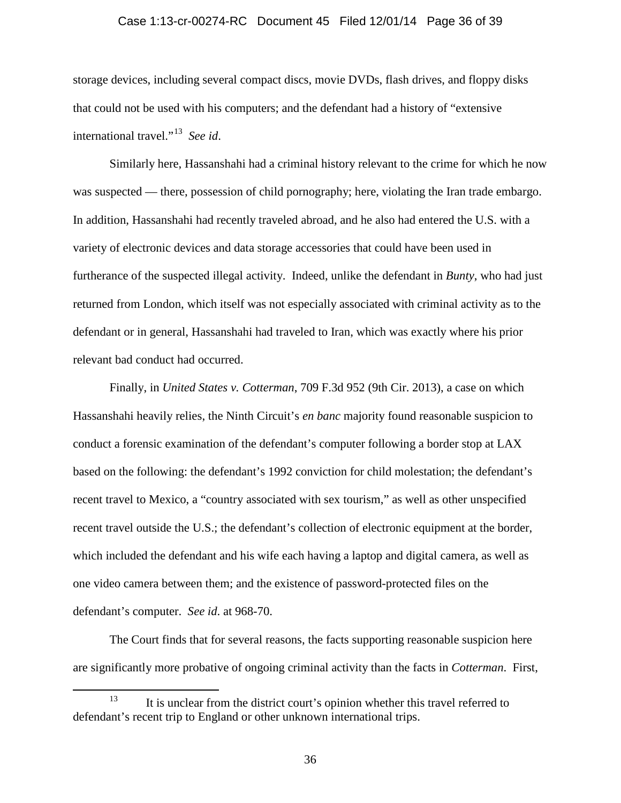#### Case 1:13-cr-00274-RC Document 45 Filed 12/01/14 Page 36 of 39

storage devices, including several compact discs, movie DVDs, flash drives, and floppy disks that could not be used with his computers; and the defendant had a history of "extensive international travel."[13](#page-35-0) *See id*.

Similarly here, Hassanshahi had a criminal history relevant to the crime for which he now was suspected — there, possession of child pornography; here, violating the Iran trade embargo. In addition, Hassanshahi had recently traveled abroad, and he also had entered the U.S. with a variety of electronic devices and data storage accessories that could have been used in furtherance of the suspected illegal activity. Indeed, unlike the defendant in *Bunty*, who had just returned from London, which itself was not especially associated with criminal activity as to the defendant or in general, Hassanshahi had traveled to Iran, which was exactly where his prior relevant bad conduct had occurred.

Finally, in *United States v. Cotterman*, 709 F.3d 952 (9th Cir. 2013), a case on which Hassanshahi heavily relies, the Ninth Circuit's *en banc* majority found reasonable suspicion to conduct a forensic examination of the defendant's computer following a border stop at LAX based on the following: the defendant's 1992 conviction for child molestation; the defendant's recent travel to Mexico, a "country associated with sex tourism," as well as other unspecified recent travel outside the U.S.; the defendant's collection of electronic equipment at the border, which included the defendant and his wife each having a laptop and digital camera, as well as one video camera between them; and the existence of password-protected files on the defendant's computer. *See id*. at 968-70.

The Court finds that for several reasons, the facts supporting reasonable suspicion here are significantly more probative of ongoing criminal activity than the facts in *Cotterman*. First,

<span id="page-35-0"></span><sup>&</sup>lt;sup>13</sup> It is unclear from the district court's opinion whether this travel referred to defendant's recent trip to England or other unknown international trips.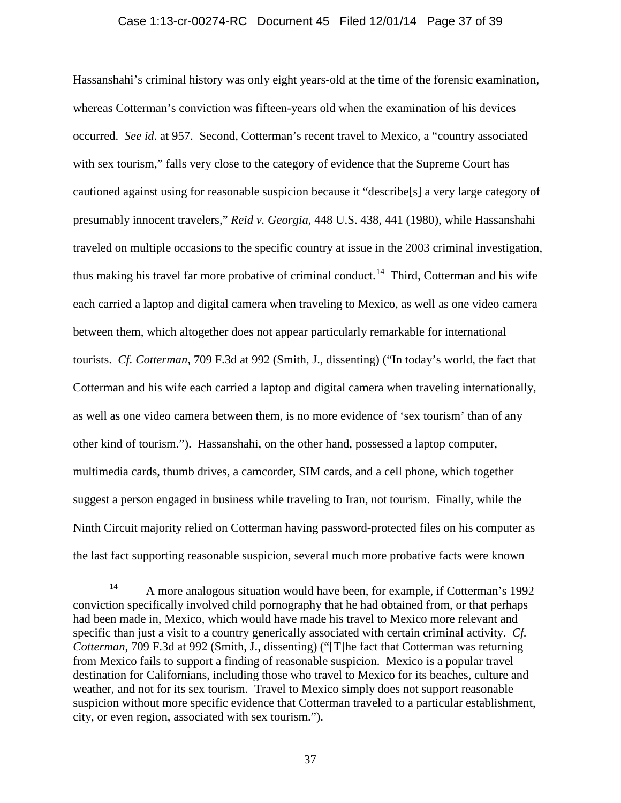### Case 1:13-cr-00274-RC Document 45 Filed 12/01/14 Page 37 of 39

Hassanshahi's criminal history was only eight years-old at the time of the forensic examination, whereas Cotterman's conviction was fifteen-years old when the examination of his devices occurred. *See id*. at 957. Second, Cotterman's recent travel to Mexico, a "country associated with sex tourism," falls very close to the category of evidence that the Supreme Court has cautioned against using for reasonable suspicion because it "describe[s] a very large category of presumably innocent travelers," *Reid v. Georgia*, 448 U.S. 438, 441 (1980), while Hassanshahi traveled on multiple occasions to the specific country at issue in the 2003 criminal investigation, thus making his travel far more probative of criminal conduct.<sup>[14](#page-36-0)</sup> Third, Cotterman and his wife each carried a laptop and digital camera when traveling to Mexico, as well as one video camera between them, which altogether does not appear particularly remarkable for international tourists. *Cf. Cotterman*, 709 F.3d at 992 (Smith, J., dissenting) ("In today's world, the fact that Cotterman and his wife each carried a laptop and digital camera when traveling internationally, as well as one video camera between them, is no more evidence of 'sex tourism' than of any other kind of tourism."). Hassanshahi, on the other hand, possessed a laptop computer, multimedia cards, thumb drives, a camcorder, SIM cards, and a cell phone, which together suggest a person engaged in business while traveling to Iran, not tourism. Finally, while the Ninth Circuit majority relied on Cotterman having password-protected files on his computer as the last fact supporting reasonable suspicion, several much more probative facts were known

<span id="page-36-0"></span><sup>&</sup>lt;sup>14</sup> A more analogous situation would have been, for example, if Cotterman's 1992 conviction specifically involved child pornography that he had obtained from, or that perhaps had been made in, Mexico, which would have made his travel to Mexico more relevant and specific than just a visit to a country generically associated with certain criminal activity. *Cf. Cotterman*, 709 F.3d at 992 (Smith, J., dissenting) ("[T]he fact that Cotterman was returning from Mexico fails to support a finding of reasonable suspicion. Mexico is a popular travel destination for Californians, including those who travel to Mexico for its beaches, culture and weather, and not for its sex tourism. Travel to Mexico simply does not support reasonable suspicion without more specific evidence that Cotterman traveled to a particular establishment, city, or even region, associated with sex tourism.").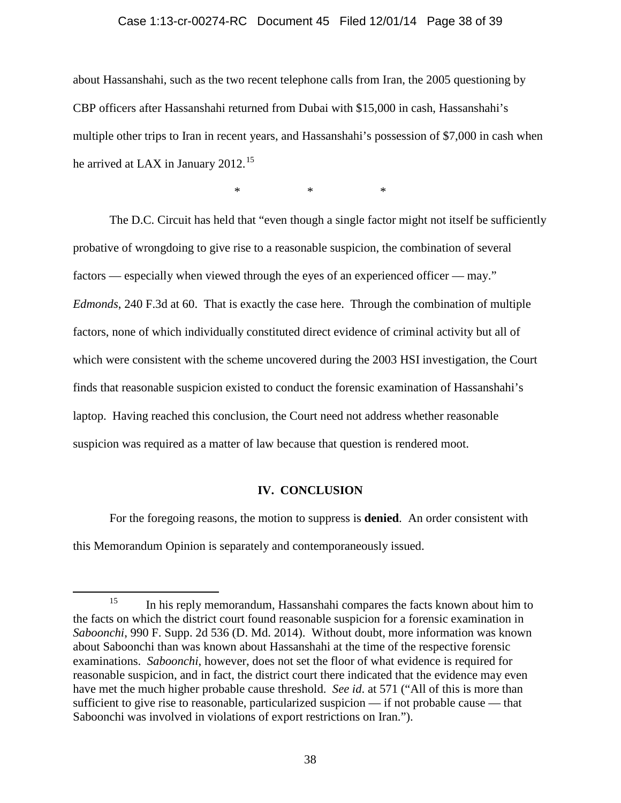#### Case 1:13-cr-00274-RC Document 45 Filed 12/01/14 Page 38 of 39

about Hassanshahi, such as the two recent telephone calls from Iran, the 2005 questioning by CBP officers after Hassanshahi returned from Dubai with \$15,000 in cash, Hassanshahi's multiple other trips to Iran in recent years, and Hassanshahi's possession of \$7,000 in cash when he arrived at LAX in January  $2012$ <sup>[15](#page-37-0)</sup>

\* \* \*

The D.C. Circuit has held that "even though a single factor might not itself be sufficiently probative of wrongdoing to give rise to a reasonable suspicion, the combination of several factors — especially when viewed through the eyes of an experienced officer — may." *Edmonds*, 240 F.3d at 60. That is exactly the case here. Through the combination of multiple factors, none of which individually constituted direct evidence of criminal activity but all of which were consistent with the scheme uncovered during the 2003 HSI investigation, the Court finds that reasonable suspicion existed to conduct the forensic examination of Hassanshahi's laptop. Having reached this conclusion, the Court need not address whether reasonable suspicion was required as a matter of law because that question is rendered moot.

### **IV. CONCLUSION**

For the foregoing reasons, the motion to suppress is **denied**. An order consistent with this Memorandum Opinion is separately and contemporaneously issued.

<span id="page-37-0"></span><sup>&</sup>lt;sup>15</sup> In his reply memorandum, Hassanshahi compares the facts known about him to the facts on which the district court found reasonable suspicion for a forensic examination in *Saboonchi*, 990 F. Supp. 2d 536 (D. Md. 2014). Without doubt, more information was known about Saboonchi than was known about Hassanshahi at the time of the respective forensic examinations. *Saboonchi*, however, does not set the floor of what evidence is required for reasonable suspicion, and in fact, the district court there indicated that the evidence may even have met the much higher probable cause threshold. *See id*. at 571 ("All of this is more than sufficient to give rise to reasonable, particularized suspicion — if not probable cause — that Saboonchi was involved in violations of export restrictions on Iran.").